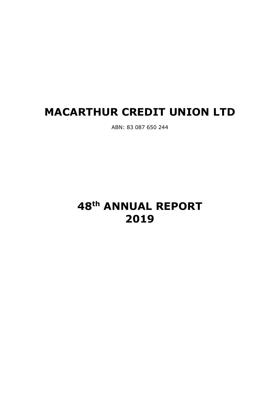# **MACARTHUR CREDIT UNION LTD**

ABN: 83 087 650 244

# **48th ANNUAL REPORT 2019**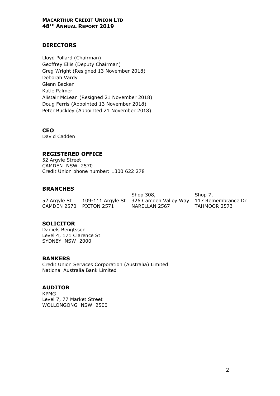# **DIRECTORS**

Lloyd Pollard (Chairman) Geoffrey Ellis (Deputy Chairman) Greg Wright (Resigned 13 November 2018) Deborah Vardy Glenn Becker Katie Palmer Alistair McLean (Resigned 21 November 2018) Doug Ferris (Appointed 13 November 2018) Peter Buckley (Appointed 21 November 2018)

**CEO**  David Cadden

# **REGISTERED OFFICE**

52 Argyle Street CAMDEN NSW 2570 Credit Union phone number: 1300 622 278

# **BRANCHES**

|                         | Shop 308,                                   | Sho |
|-------------------------|---------------------------------------------|-----|
| 52 Argyle St            | 109-111 Argyle St 326 Camden Valley Way 117 |     |
| CAMDEN 2570 PICTON 2571 | NARELLAN 2567                               | TAH |

.<br>7, מ Remembrance Dr **MOOR 2573** 

# **SOLICITOR**

Daniels Bengtsson Level 4, 171 Clarence St SYDNEY NSW 2000

#### **BANKERS**

Credit Union Services Corporation (Australia) Limited National Australia Bank Limited

# **AUDITOR**

KPMG Level 7, 77 Market Street WOLLONGONG NSW 2500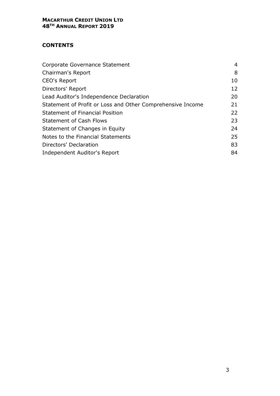# **CONTENTS**

| Corporate Governance Statement                             | 4  |
|------------------------------------------------------------|----|
| Chairman's Report                                          | 8  |
| CEO's Report                                               | 10 |
| Directors' Report                                          | 12 |
| Lead Auditor's Independence Declaration                    | 20 |
| Statement of Profit or Loss and Other Comprehensive Income | 21 |
| <b>Statement of Financial Position</b>                     | 22 |
| <b>Statement of Cash Flows</b>                             | 23 |
| Statement of Changes in Equity                             | 24 |
| Notes to the Financial Statements                          | 25 |
| Directors' Declaration                                     | 83 |
| Independent Auditor's Report                               | 84 |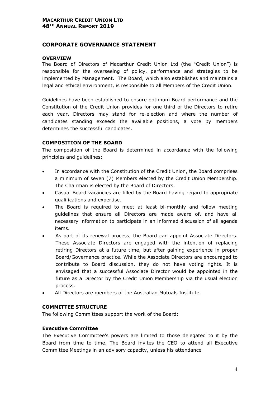#### **CORPORATE GOVERNANCE STATEMENT**

#### **OVERVIEW**

The Board of Directors of Macarthur Credit Union Ltd (the "Credit Union") is responsible for the overseeing of policy, performance and strategies to be implemented by Management. The Board, which also establishes and maintains a legal and ethical environment, is responsible to all Members of the Credit Union.

Guidelines have been established to ensure optimum Board performance and the Constitution of the Credit Union provides for one third of the Directors to retire each year. Directors may stand for re-election and where the number of candidates standing exceeds the available positions, a vote by members determines the successful candidates.

#### **COMPOSITION OF THE BOARD**

The composition of the Board is determined in accordance with the following principles and guidelines:

- In accordance with the Constitution of the Credit Union, the Board comprises a minimum of seven (7) Members elected by the Credit Union Membership. The Chairman is elected by the Board of Directors.
- Casual Board vacancies are filled by the Board having regard to appropriate qualifications and expertise.
- The Board is required to meet at least bi-monthly and follow meeting guidelines that ensure all Directors are made aware of, and have all necessary information to participate in an informed discussion of all agenda items.
- As part of its renewal process, the Board can appoint Associate Directors. These Associate Directors are engaged with the intention of replacing retiring Directors at a future time, but after gaining experience in proper Board/Governance practice. While the Associate Directors are encouraged to contribute to Board discussion, they do not have voting rights. It is envisaged that a successful Associate Director would be appointed in the future as a Director by the Credit Union Membership via the usual election process.
- All Directors are members of the Australian Mutuals Institute.

#### **COMMITTEE STRUCTURE**

The following Committees support the work of the Board:

#### **Executive Committee**

The Executive Committee's powers are limited to those delegated to it by the Board from time to time. The Board invites the CEO to attend all Executive Committee Meetings in an advisory capacity, unless his attendance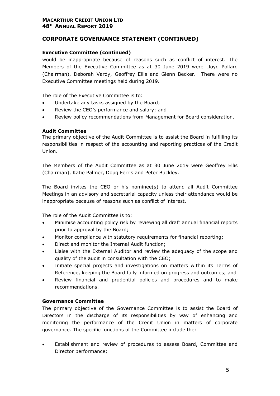# **CORPORATE GOVERNANCE STATEMENT (CONTINUED)**

#### **Executive Committee (continued)**

would be inappropriate because of reasons such as conflict of interest. The Members of the Executive Committee as at 30 June 2019 were Lloyd Pollard (Chairman), Deborah Vardy, Geoffrey Ellis and Glenn Becker. There were no Executive Committee meetings held during 2019.

The role of the Executive Committee is to:

- Undertake any tasks assigned by the Board;
- Review the CEO's performance and salary; and
- Review policy recommendations from Management for Board consideration.

#### **Audit Committee**

The primary objective of the Audit Committee is to assist the Board in fulfilling its responsibilities in respect of the accounting and reporting practices of the Credit Union.

The Members of the Audit Committee as at 30 June 2019 were Geoffrey Ellis (Chairman), Katie Palmer, Doug Ferris and Peter Buckley.

The Board invites the CEO or his nominee(s) to attend all Audit Committee Meetings in an advisory and secretarial capacity unless their attendance would be inappropriate because of reasons such as conflict of interest.

The role of the Audit Committee is to:

- Minimise accounting policy risk by reviewing all draft annual financial reports prior to approval by the Board;
- Monitor compliance with statutory requirements for financial reporting;
- Direct and monitor the Internal Audit function;
- Liaise with the External Auditor and review the adequacy of the scope and quality of the audit in consultation with the CEO;
- Initiate special projects and investigations on matters within its Terms of Reference, keeping the Board fully informed on progress and outcomes; and
- Review financial and prudential policies and procedures and to make recommendations.

#### **Governance Committee**

The primary objective of the Governance Committee is to assist the Board of Directors in the discharge of its responsibilities by way of enhancing and monitoring the performance of the Credit Union in matters of corporate governance. The specific functions of the Committee include the:

• Establishment and review of procedures to assess Board, Committee and Director performance;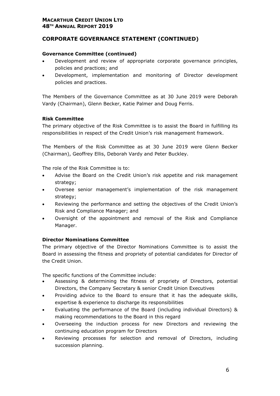# **CORPORATE GOVERNANCE STATEMENT (CONTINUED)**

#### **Governance Committee (continued)**

- Development and review of appropriate corporate governance principles, policies and practices; and
- Development, implementation and monitoring of Director development policies and practices.

The Members of the Governance Committee as at 30 June 2019 were Deborah Vardy (Chairman), Glenn Becker, Katie Palmer and Doug Ferris.

#### **Risk Committee**

The primary objective of the Risk Committee is to assist the Board in fulfilling its responsibilities in respect of the Credit Union's risk management framework.

The Members of the Risk Committee as at 30 June 2019 were Glenn Becker (Chairman), Geoffrey Ellis, Deborah Vardy and Peter Buckley.

The role of the Risk Committee is to:

- Advise the Board on the Credit Union's risk appetite and risk management strategy;
- Oversee senior management's implementation of the risk management strategy;
- Reviewing the performance and setting the objectives of the Credit Union's Risk and Compliance Manager; and
- Oversight of the appointment and removal of the Risk and Compliance Manager.

#### **Director Nominations Committee**

The primary objective of the Director Nominations Committee is to assist the Board in assessing the fitness and propriety of potential candidates for Director of the Credit Union.

The specific functions of the Committee include:

- Assessing & determining the fitness of propriety of Directors, potential Directors, the Company Secretary & senior Credit Union Executives
- Providing advice to the Board to ensure that it has the adequate skills, expertise & experience to discharge its responsibilities
- Evaluating the performance of the Board (including individual Directors) & making recommendations to the Board in this regard
- Overseeing the induction process for new Directors and reviewing the continuing education program for Directors
- Reviewing processes for selection and removal of Directors, including succession planning.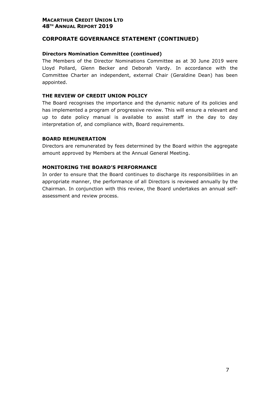# **CORPORATE GOVERNANCE STATEMENT (CONTINUED)**

#### **Directors Nomination Committee (continued)**

The Members of the Director Nominations Committee as at 30 June 2019 were Lloyd Pollard, Glenn Becker and Deborah Vardy. In accordance with the Committee Charter an independent, external Chair (Geraldine Dean) has been appointed.

#### **THE REVIEW OF CREDIT UNION POLICY**

The Board recognises the importance and the dynamic nature of its policies and has implemented a program of progressive review. This will ensure a relevant and up to date policy manual is available to assist staff in the day to day interpretation of, and compliance with, Board requirements.

#### **BOARD REMUNERATION**

Directors are remunerated by fees determined by the Board within the aggregate amount approved by Members at the Annual General Meeting.

#### **MONITORING THE BOARD'S PERFORMANCE**

In order to ensure that the Board continues to discharge its responsibilities in an appropriate manner, the performance of all Directors is reviewed annually by the Chairman. In conjunction with this review, the Board undertakes an annual selfassessment and review process.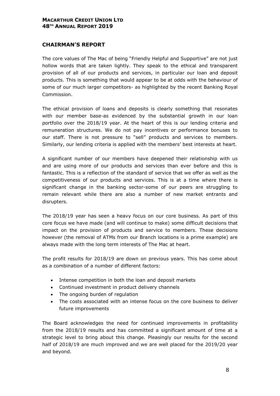# **CHAIRMAN'S REPORT**

The core values of The Mac of being "Friendly Helpful and Supportive" are not just hollow words that are taken lightly. They speak to the ethical and transparent provision of all of our products and services, in particular our loan and deposit products. This is something that would appear to be at odds with the behaviour of some of our much larger competitors- as highlighted by the recent Banking Royal Commission.

The ethical provision of loans and deposits is clearly something that resonates with our member base-as evidenced by the substantial growth in our loan portfolio over the 2018/19 year. At the heart of this is our lending criteria and remuneration structures. We do not pay incentives or performance bonuses to our staff. There is not pressure to "sell" products and services to members. Similarly, our lending criteria is applied with the members' best interests at heart.

A significant number of our members have deepened their relationship with us and are using more of our products and services than ever before and this is fantastic. This is a reflection of the standard of service that we offer as well as the competitiveness of our products and services. This is at a time where there is significant change in the banking sector-some of our peers are struggling to remain relevant while there are also a number of new market entrants and disrupters.

The 2018/19 year has seen a heavy focus on our core business. As part of this core focus we have made (and will continue to make) some difficult decisions that impact on the provision of products and service to members. These decisions however (the removal of ATMs from our Branch locations is a prime example) are always made with the long term interests of The Mac at heart.

The profit results for 2018/19 are down on previous years. This has come about as a combination of a number of different factors:

- Intense competition in both the loan and deposit markets
- Continued investment in product delivery channels
- The ongoing burden of regulation
- The costs associated with an intense focus on the core business to deliver future improvements

The Board acknowledges the need for continued improvements in profitability from the 2018/19 results and has committed a significant amount of time at a strategic level to bring about this change. Pleasingly our results for the second half of 2018/19 are much improved and we are well placed for the 2019/20 year and beyond.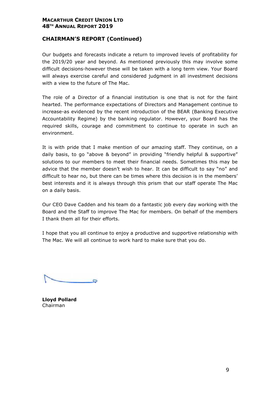# **CHAIRMAN'S REPORT (Continued)**

Our budgets and forecasts indicate a return to improved levels of profitability for the 2019/20 year and beyond. As mentioned previously this may involve some difficult decisions-however these will be taken with a long term view. Your Board will always exercise careful and considered judgment in all investment decisions with a view to the future of The Mac.

The role of a Director of a financial institution is one that is not for the faint hearted. The performance expectations of Directors and Management continue to increase-as evidenced by the recent introduction of the BEAR (Banking Executive Accountability Regime) by the banking regulator. However, your Board has the required skills, courage and commitment to continue to operate in such an environment.

It is with pride that I make mention of our amazing staff. They continue, on a daily basis, to go "above & beyond" in providing "friendly helpful & supportive" solutions to our members to meet their financial needs. Sometimes this may be advice that the member doesn't wish to hear. It can be difficult to say "no" and difficult to hear no, but there can be times where this decision is in the members' best interests and it is always through this prism that our staff operate The Mac on a daily basis.

Our CEO Dave Cadden and his team do a fantastic job every day working with the Board and the Staff to improve The Mac for members. On behalf of the members I thank them all for their efforts.

I hope that you all continue to enjoy a productive and supportive relationship with The Mac. We will all continue to work hard to make sure that you do.

**Lloyd Pollard**  Chairman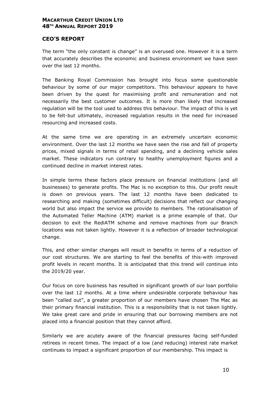#### **CEO'S REPORT**

The term "the only constant is change" is an overused one. However it is a term that accurately describes the economic and business environment we have seen over the last 12 months.

The Banking Royal Commission has brought into focus some questionable behaviour by some of our major competitors. This behaviour appears to have been driven by the quest for maximising profit and remuneration and not necessarily the best customer outcomes. It is more than likely that increased regulation will be the tool used to address this behaviour. The impact of this is yet to be felt-but ultimately, increased regulation results in the need for increased resourcing and increased costs.

At the same time we are operating in an extremely uncertain economic environment. Over the last 12 months we have seen the rise and fall of property prices, mixed signals in terms of retail spending, and a declining vehicle sales market. These indicators run contrary to healthy unemployment figures and a continued decline in market interest rates.

In simple terms these factors place pressure on financial institutions (and all businesses) to generate profits. The Mac is no exception to this. Our profit result is down on previous years. The last 12 months have been dedicated to researching and making (sometimes difficult) decisions that reflect our changing world but also impact the service we provide to members. The rationalisation of the Automated Teller Machine (ATM) market is a prime example of that. Our decision to exit the RediATM scheme and remove machines from our Branch locations was not taken lightly. However it is a reflection of broader technological change.

This, and other similar changes will result in benefits in terms of a reduction of our cost structures. We are starting to feel the benefits of this-with improved profit levels in recent months. It is anticipated that this trend will continue into the 2019/20 year.

Our focus on core business has resulted in significant growth of our loan portfolio over the last 12 months. At a time where undesirable corporate behaviour has been "called out", a greater proportion of our members have chosen The Mac as their primary financial institution. This is a responsibility that is not taken lightly. We take great care and pride in ensuring that our borrowing members are not placed into a financial position that they cannot afford.

Similarly we are acutely aware of the financial pressures facing self-funded retirees in recent times. The impact of a low (and reducing) interest rate market continues to impact a significant proportion of our membership. This impact is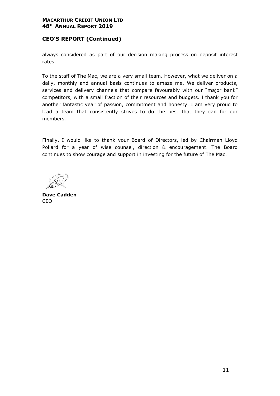# **CEO'S REPORT (Continued)**

always considered as part of our decision making process on deposit interest rates.

To the staff of The Mac, we are a very small team. However, what we deliver on a daily, monthly and annual basis continues to amaze me. We deliver products, services and delivery channels that compare favourably with our "major bank" competitors, with a small fraction of their resources and budgets. I thank you for another fantastic year of passion, commitment and honesty. I am very proud to lead a team that consistently strives to do the best that they can for our members.

Finally, I would like to thank your Board of Directors, led by Chairman Lloyd Pollard for a year of wise counsel, direction & encouragement. The Board continues to show courage and support in investing for the future of The Mac.

**Dave Cadden**  CEO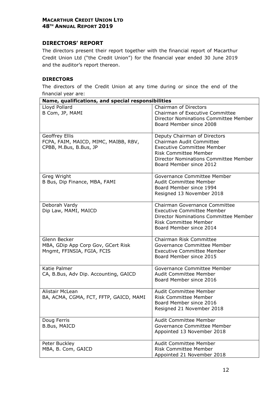# **DIRECTORS' REPORT**

The directors present their report together with the financial report of Macarthur Credit Union Ltd ("the Credit Union") for the financial year ended 30 June 2019 and the auditor's report thereon.

#### **DIRECTORS**

The directors of the Credit Union at any time during or since the end of the financial year are:

|                                                                                  | Name, qualifications, and special responsibilities                                                                                                                                                |  |  |  |  |  |  |
|----------------------------------------------------------------------------------|---------------------------------------------------------------------------------------------------------------------------------------------------------------------------------------------------|--|--|--|--|--|--|
| Lloyd Pollard<br>B Com, JP, MAMI                                                 | <b>Chairman of Directors</b><br>Chairman of Executive Committee<br>Director Nominations Committee Member<br>Board Member since 2008                                                               |  |  |  |  |  |  |
| Geoffrey Ellis<br>FCPA, FAIM, MAICD, MIMC, MAIBB, RBV,<br>CPBB, M.Bus, B.Bus, JP | Deputy Chairman of Directors<br>Chairman Audit Committee<br><b>Executive Committee Member</b><br><b>Risk Committee Member</b><br>Director Nominations Committee Member<br>Board Member since 2012 |  |  |  |  |  |  |
| Greg Wright<br>B Bus, Dip Finance, MBA, FAMI                                     | Governance Committee Member<br><b>Audit Committee Member</b><br>Board Member since 1994<br>Resigned 13 November 2018                                                                              |  |  |  |  |  |  |
| Deborah Vardy<br>Dip Law, MAMI, MAICD                                            | Chairman Governance Committee<br><b>Executive Committee Member</b><br><b>Director Nominations Committee Member</b><br><b>Risk Committee Member</b><br>Board Member since 2014                     |  |  |  |  |  |  |
| Glenn Becker<br>MBA, GDip App Corp Gov, GCert Risk<br>Mngmt, FFINSIA, FGIA, FCIS | Chairman Risk Committee<br>Governance Committee Member<br><b>Executive Committee Member</b><br>Board Member since 2015                                                                            |  |  |  |  |  |  |
| Katie Palmer<br>CA, B.Bus, Adv Dip. Accounting, GAICD                            | Governance Committee Member<br>Audit Committee Member<br>Board Member since 2016                                                                                                                  |  |  |  |  |  |  |
| Alistair McLean<br>BA, ACMA, CGMA, FCT, FFTP, GAICD, MAMI                        | Audit Committee Member<br><b>Risk Committee Member</b><br>Board Member since 2016<br>Resigned 21 November 2018                                                                                    |  |  |  |  |  |  |
| Doug Ferris<br><b>B.Bus, MAICD</b>                                               | Audit Committee Member<br>Governance Committee Member<br>Appointed 13 November 2018                                                                                                               |  |  |  |  |  |  |
| Peter Buckley<br>MBA, B. Com, GAICD                                              | Audit Committee Member<br><b>Risk Committee Member</b><br>Appointed 21 November 2018                                                                                                              |  |  |  |  |  |  |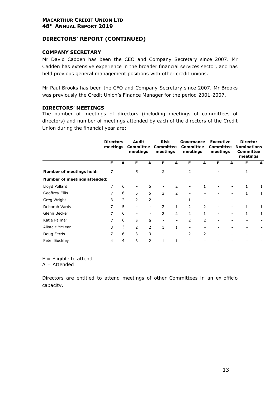# **DIRECTORS' REPORT (CONTINUED)**

#### **COMPANY SECRETARY**

Mr David Cadden has been the CEO and Company Secretary since 2007. Mr Cadden has extensive experience in the broader financial services sector, and has held previous general management positions with other credit unions.

Mr Paul Brooks has been the CFO and Company Secretary since 2007. Mr Brooks was previously the Credit Union's Finance Manager for the period 2001-2007.

#### **DIRECTORS' MEETINGS**

The number of meetings of directors (including meetings of committees of directors) and number of meetings attended by each of the directors of the Credit Union during the financial year are:

|                                     | <b>Directors</b><br>meetings |   | Audit<br><b>Committee</b><br>meetings |                          | <b>Risk</b><br><b>Committee</b><br>meetings |                          | Governance<br><b>Committee</b><br>meetings |              | <b>Executive</b><br>Committee<br>meetings |   | <b>Director</b><br><b>Nominations</b><br>Committee<br>meetings |   |
|-------------------------------------|------------------------------|---|---------------------------------------|--------------------------|---------------------------------------------|--------------------------|--------------------------------------------|--------------|-------------------------------------------|---|----------------------------------------------------------------|---|
|                                     | E.                           | A | Е                                     | Α                        | E.                                          | A                        | E.                                         | A            | E.                                        | A | Е.                                                             | A |
| <b>Number of meetings held:</b>     | 7                            |   | 5                                     |                          | 2                                           |                          | 2                                          |              |                                           |   | 1                                                              |   |
| <b>Number of meetings attended:</b> |                              |   |                                       |                          |                                             |                          |                                            |              |                                           |   |                                                                |   |
| Lloyd Pollard                       | 7                            | 6 |                                       | 5                        |                                             | $\overline{2}$           |                                            |              |                                           |   | $\mathbf{1}$                                                   | 1 |
| Geoffrey Ellis                      | 7                            | 6 | 5                                     | 5                        | $\overline{2}$                              | $\overline{2}$           |                                            |              |                                           |   | $\mathbf{1}$                                                   | 1 |
| Greg Wright                         | 3                            | 2 | 2                                     | 2                        |                                             | $\overline{\phantom{0}}$ | 1                                          |              |                                           |   |                                                                |   |
| Deborah Vardy                       | 7                            | 5 | -                                     | $\overline{\phantom{a}}$ | $\overline{2}$                              | 1                        | $\overline{2}$                             | 2            | $\overline{\phantom{0}}$                  | ۰ |                                                                | 1 |
| Glenn Becker                        | 7                            | 6 |                                       | $\overline{\phantom{a}}$ | $\overline{2}$                              | $\overline{2}$           | $\overline{2}$                             | $\mathbf{1}$ | ۰                                         |   | $\mathbf{1}$                                                   | 1 |
| Katie Palmer                        | 7                            | 6 | 5                                     | 5                        |                                             | $\overline{\phantom{a}}$ | 2                                          | 2            | -                                         |   |                                                                |   |
| Alistair McLean                     | 3                            | 3 | 2                                     | $\overline{2}$           | $\mathbf{1}$                                | 1                        |                                            |              |                                           |   |                                                                |   |
| Doug Ferris                         | 7                            | 6 | 3                                     | 3                        |                                             | $\overline{\phantom{0}}$ | 2                                          | 2            |                                           |   |                                                                |   |
| Peter Buckley                       | 4                            | 4 | 3                                     | $\overline{2}$           | $\mathbf{1}$                                | 1                        |                                            |              |                                           |   |                                                                |   |

 $E =$  Eligible to attend

 $A =$ Attended

Directors are entitled to attend meetings of other Committees in an ex-officio capacity.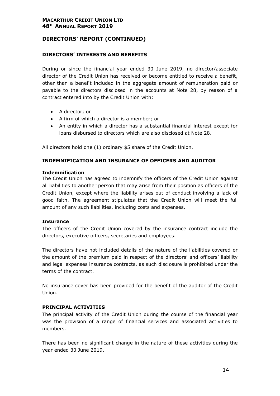# **DIRECTORS' REPORT (CONTINUED)**

#### **DIRECTORS' INTERESTS AND BENEFITS**

During or since the financial year ended 30 June 2019, no director/associate director of the Credit Union has received or become entitled to receive a benefit, other than a benefit included in the aggregate amount of remuneration paid or payable to the directors disclosed in the accounts at Note 28, by reason of a contract entered into by the Credit Union with:

- A director; or
- A firm of which a director is a member; or
- An entity in which a director has a substantial financial interest except for loans disbursed to directors which are also disclosed at Note 28.

All directors hold one (1) ordinary \$5 share of the Credit Union.

#### **INDEMNIFICATION AND INSURANCE OF OFFICERS AND AUDITOR**

#### **Indemnification**

The Credit Union has agreed to indemnify the officers of the Credit Union against all liabilities to another person that may arise from their position as officers of the Credit Union, except where the liability arises out of conduct involving a lack of good faith. The agreement stipulates that the Credit Union will meet the full amount of any such liabilities, including costs and expenses.

#### **Insurance**

The officers of the Credit Union covered by the insurance contract include the directors, executive officers, secretaries and employees.

The directors have not included details of the nature of the liabilities covered or the amount of the premium paid in respect of the directors' and officers' liability and legal expenses insurance contracts, as such disclosure is prohibited under the terms of the contract.

No insurance cover has been provided for the benefit of the auditor of the Credit Union.

#### **PRINCIPAL ACTIVITIES**

The principal activity of the Credit Union during the course of the financial year was the provision of a range of financial services and associated activities to members.

There has been no significant change in the nature of these activities during the year ended 30 June 2019.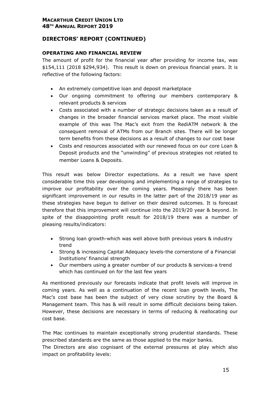# **DIRECTORS' REPORT (CONTINUED)**

# **OPERATING AND FINANCIAL REVIEW**

The amount of profit for the financial year after providing for income tax, was \$154,111 (2018 \$294,934). This result is down on previous financial years. It is reflective of the following factors:

- An extremely competitive loan and deposit marketplace
- Our ongoing commitment to offering our members contemporary & relevant products & services
- Costs associated with a number of strategic decisions taken as a result of changes in the broader financial services market place. The most visible example of this was The Mac's exit from the RediATM network & the consequent removal of ATMs from our Branch sites. There will be longer term benefits from these decisions as a result of changes to our cost base
- Costs and resources associated with our renewed focus on our core Loan & Deposit products and the "unwinding" of previous strategies not related to member Loans & Deposits.

This result was below Director expectations. As a result we have spent considerable time this year developing and implementing a range of strategies to improve our profitability over the coming years. Pleasingly there has been significant improvement in our results in the latter part of the 2018/19 year as these strategies have begun to deliver on their desired outcomes. It is forecast therefore that this improvement will continue into the 2019/20 year & beyond. In spite of the disappointing profit result for 2018/19 there was a number of pleasing results/indicators:

- Strong loan growth-which was well above both previous years & industry trend
- Strong & increasing Capital Adequacy levels-the cornerstone of a Financial Institutions' financial strength
- Our members using a greater number of our products & services-a trend which has continued on for the last few years

As mentioned previously our forecasts indicate that profit levels will improve in coming years. As well as a continuation of the recent loan growth levels, The Mac's cost base has been the subject of very close scrutiny by the Board & Management team. This has & will result in some difficult decisions being taken. However, these decisions are necessary in terms of reducing & reallocating our cost base.

The Mac continues to maintain exceptionally strong prudential standards. These prescribed standards are the same as those applied to the major banks.

The Directors are also cognisant of the external pressures at play which also impact on profitability levels: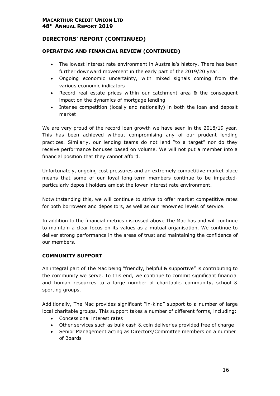# **DIRECTORS' REPORT (CONTINUED)**

# **OPERATING AND FINANCIAL REVIEW (CONTINUED)**

- The lowest interest rate environment in Australia's history. There has been further downward movement in the early part of the 2019/20 year.
- Ongoing economic uncertainty, with mixed signals coming from the various economic indicators
- Record real estate prices within our catchment area & the consequent impact on the dynamics of mortgage lending
- Intense competition (locally and nationally) in both the loan and deposit market

We are very proud of the record loan growth we have seen in the 2018/19 year. This has been achieved without compromising any of our prudent lending practices. Similarly, our lending teams do not lend "to a target" nor do they receive performance bonuses based on volume. We will not put a member into a financial position that they cannot afford.

Unfortunately, ongoing cost pressures and an extremely competitive market place means that some of our loyal long-term members continue to be impactedparticularly deposit holders amidst the lower interest rate environment.

Notwithstanding this, we will continue to strive to offer market competitive rates for both borrowers and depositors, as well as our renowned levels of service.

In addition to the financial metrics discussed above The Mac has and will continue to maintain a clear focus on its values as a mutual organisation. We continue to deliver strong performance in the areas of trust and maintaining the confidence of our members.

#### **COMMUNITY SUPPORT**

An integral part of The Mac being "friendly, helpful & supportive" is contributing to the community we serve. To this end, we continue to commit significant financial and human resources to a large number of charitable, community, school & sporting groups.

Additionally, The Mac provides significant "in-kind" support to a number of large local charitable groups. This support takes a number of different forms, including:

- Concessional interest rates
- Other services such as bulk cash & coin deliveries provided free of charge
- Senior Management acting as Directors/Committee members on a number of Boards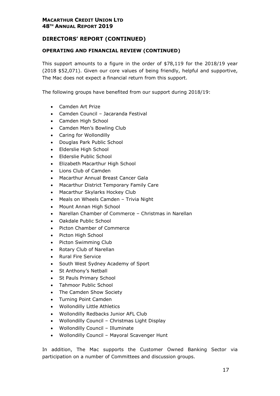# **DIRECTORS' REPORT (CONTINUED)**

# **OPERATING AND FINANCIAL REVIEW (CONTINUED)**

This support amounts to a figure in the order of \$78,119 for the 2018/19 year (2018 \$52,071). Given our core values of being friendly, helpful and supportive, The Mac does not expect a financial return from this support.

The following groups have benefited from our support during 2018/19:

- Camden Art Prize
- Camden Council Jacaranda Festival
- Camden High School
- Camden Men's Bowling Club
- Caring for Wollondilly
- Douglas Park Public School
- Elderslie High School
- Elderslie Public School
- Elizabeth Macarthur High School
- Lions Club of Camden
- Macarthur Annual Breast Cancer Gala
- Macarthur District Temporary Family Care
- Macarthur Skylarks Hockey Club
- Meals on Wheels Camden Trivia Night
- Mount Annan High School
- Narellan Chamber of Commerce Christmas in Narellan
- Oakdale Public School
- Picton Chamber of Commerce
- Picton High School
- Picton Swimming Club
- Rotary Club of Narellan
- Rural Fire Service
- South West Sydney Academy of Sport
- St Anthony's Netball
- St Pauls Primary School
- Tahmoor Public School
- The Camden Show Society
- Turning Point Camden
- Wollondilly Little Athletics
- Wollondilly Redbacks Junior AFL Club
- Wollondilly Council Christmas Light Display
- Wollondilly Council Illuminate
- Wollondilly Council Mayoral Scavenger Hunt

In addition, The Mac supports the Customer Owned Banking Sector via participation on a number of Committees and discussion groups.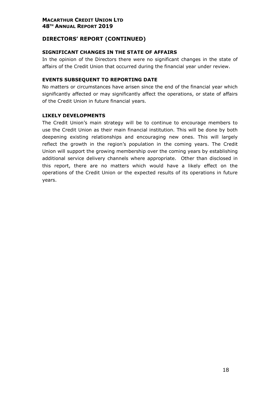# **DIRECTORS' REPORT (CONTINUED)**

#### **SIGNIFICANT CHANGES IN THE STATE OF AFFAIRS**

In the opinion of the Directors there were no significant changes in the state of affairs of the Credit Union that occurred during the financial year under review.

#### **EVENTS SUBSEQUENT TO REPORTING DATE**

No matters or circumstances have arisen since the end of the financial year which significantly affected or may significantly affect the operations, or state of affairs of the Credit Union in future financial years.

#### **LIKELY DEVELOPMENTS**

The Credit Union's main strategy will be to continue to encourage members to use the Credit Union as their main financial institution. This will be done by both deepening existing relationships and encouraging new ones. This will largely reflect the growth in the region's population in the coming years. The Credit Union will support the growing membership over the coming years by establishing additional service delivery channels where appropriate. Other than disclosed in this report, there are no matters which would have a likely effect on the operations of the Credit Union or the expected results of its operations in future years.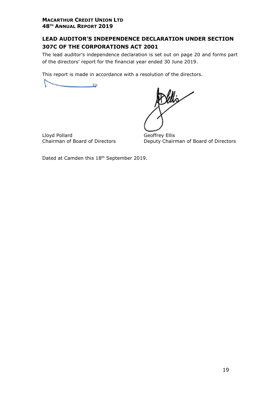# **LEAD AUDITOR'S INDEPENDENCE DECLARATION UNDER SECTION 307C OF THE CORPORATIONS ACT 2001**

The lead auditor's independence declaration is set out on page 20 and forms part of the directors' report for the financial year ended 30 June 2019.

This report is made in accordance with a resolution of the directors.

Lloyd Pollard<br>
Chairman of Board of Directors<br>
Deputy Chairr

Deputy Chairman of Board of Directors

Dated at Camden this 18th September 2019.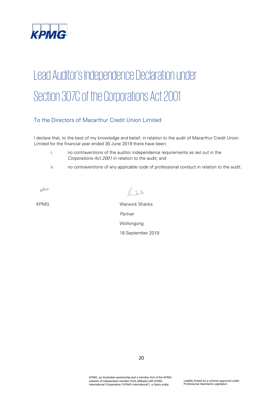

# Lead Auditor's Independence Declaration under Section 307C of the Corporations Act 2001

# To the Directors of Macarthur Credit Union Limited

I declare that, to the best of my knowledge and belief, in relation to the audit of Macarthur Credit Union Limited for the financial year ended 30 June 2019 there have been:

- i. no contraventions of the auditor independence requirements as set out in the Corporations Act 2001 in relation to the audit; and
- ii. no contraventions of any applicable code of professional conduct in relation to the audit.

KMG

 $\ell$ 

KPMG Warwick Shanks Partner Wollongong 18 September 2019

KPMG, an Australian partnership and a member firm of the KPMG network of independent member firms affiliated with KPMG International Cooperative ("KPMG International"), a Swiss entity.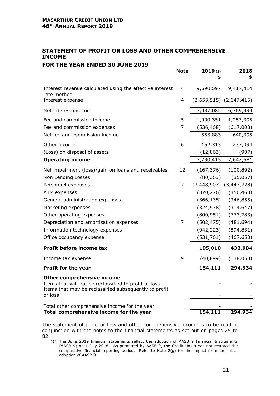# **STATEMENT OF PROFIT OR LOSS AND OTHER COMPREHENSIVE INCOME**

# **FOR THE YEAR ENDED 30 JUNE 2019**

|                                                                                                                                                                | <b>Note</b>    | 2019(1)<br>\$  | 2018<br>\$                  |
|----------------------------------------------------------------------------------------------------------------------------------------------------------------|----------------|----------------|-----------------------------|
| Interest revenue calculated using the effective interest<br>rate method                                                                                        | 4              | 9,690,597      | 9,417,414                   |
| Interest expense                                                                                                                                               | 4              |                | $(2,653,515)$ $(2,647,415)$ |
| Net interest income                                                                                                                                            |                | 7,037,082      | 6,769,999                   |
| Fee and commission income                                                                                                                                      | 5              | 1,090,351      | 1,257,395                   |
| Fee and commission expenses                                                                                                                                    | 7              | (536, 468)     | (617,000)                   |
| Net fee and commission income                                                                                                                                  |                | 553,883        | 640,395                     |
| Other income                                                                                                                                                   | 6              | 152,313        | 233,094                     |
| (Loss) on disposal of assets                                                                                                                                   |                | (12, 863)      | (907)                       |
| <b>Operating income</b>                                                                                                                                        |                | 7,730,415      | 7,642,581                   |
| Net impairment (loss)/gain on loans and receivables                                                                                                            | 12             | (167, 376)     | (100, 892)                  |
| Non Lending Losses                                                                                                                                             |                | (80, 363)      | (35,057)                    |
| Personnel expenses                                                                                                                                             | $\overline{7}$ |                | $(3,448,907)$ $(3,443,728)$ |
| ATM expenses                                                                                                                                                   |                | (370, 276)     | (350, 460)                  |
| General administration expenses                                                                                                                                |                | (366, 135)     | (346, 855)                  |
| Marketing expenses                                                                                                                                             |                | (324, 938)     | (314, 647)                  |
| Other operating expenses                                                                                                                                       |                | (800, 951)     | (773, 783)                  |
| Depreciation and amortisation expenses                                                                                                                         | 7              | (502, 475)     | (481, 694)                  |
| Information technology expenses                                                                                                                                |                | (942, 223)     | (894, 831)                  |
| Office occupancy expense                                                                                                                                       |                | (531, 761)     | (467, 650)                  |
| Profit before income tax                                                                                                                                       |                | <u>195,010</u> | 432,984                     |
| Income tax expense                                                                                                                                             | 9              | (40, 899)      | (138,050)                   |
| Profit for the year                                                                                                                                            |                | 154,111        | 294,934                     |
| <b>Other comprehensive income</b><br>Items that will not be reclassified to profit or loss<br>Items that may be reclassified subsequently to profit<br>or loss |                |                |                             |
| Total other comprehensive income for the year<br>Total comprehensive income for the year                                                                       |                | 154,111        | 294,934                     |

The statement of profit or loss and other comprehensive income is to be read in conjunction with the notes to the financial statements as set out on pages 25 to 82.

(1) The June 2019 financial statements reflect the adoption of AASB 9 Financial Instruments (AASB 9) on 1 July 2018. As permitted by AASB 9, the Credit Union has not restated the comparative financial reporting period. Refer to Note 2(g) for the impact from the initial adoption of AASB 9.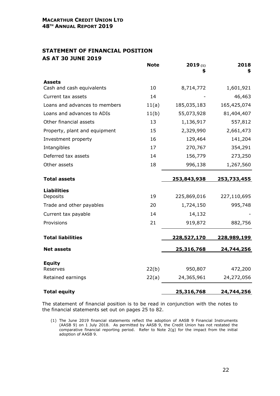# **STATEMENT OF FINANCIAL POSITION AS AT 30 JUNE 2019**

|                               | <b>Note</b> | 2019(1)<br>S       | 2018<br>\$         |
|-------------------------------|-------------|--------------------|--------------------|
| <b>Assets</b>                 |             |                    |                    |
| Cash and cash equivalents     | 10          | 8,714,772          | 1,601,921          |
| Current tax assets            | 14          |                    | 46,463             |
| Loans and advances to members | 11(a)       | 185,035,183        | 165,425,074        |
| Loans and advances to ADIs    | 11(b)       | 55,073,928         | 81,404,407         |
| Other financial assets        | 13          | 1,136,917          | 557,812            |
| Property, plant and equipment | 15          | 2,329,990          | 2,661,473          |
| Investment property           | 16          | 129,464            | 141,204            |
| Intangibles                   | 17          | 270,767            | 354,291            |
| Deferred tax assets           | 14          | 156,779            | 273,250            |
| Other assets                  | 18          | 996,138            | 1,267,560          |
|                               |             |                    |                    |
| <b>Total assets</b>           |             | <u>253,843,938</u> | <u>253,733,455</u> |
| <b>Liabilities</b>            |             |                    |                    |
| Deposits                      | 19          | 225,869,016        | 227,110,695        |
| Trade and other payables      | 20          | 1,724,150          | 995,748            |
| Current tax payable           | 14          | 14,132             |                    |
| Provisions                    | 21          | 919,872            | 882,756            |
| <b>Total liabilities</b>      |             | <u>228,527,170</u> | 228,989,199        |
| <b>Net assets</b>             |             | <u>25,316,768</u>  | 24,744,256         |
|                               |             |                    |                    |
| <b>Equity</b>                 |             |                    |                    |
| Reserves                      | 22(b)       | 950,807            | 472,200            |
| Retained earnings             | 22(a)       | 24,365,961         | 24,272,056         |
| <b>Total equity</b>           |             | 25,316,768         | 24,744,256         |

The statement of financial position is to be read in conjunction with the notes to the financial statements set out on pages 25 to 82.

(1) The June 2019 financial statements reflect the adoption of AASB 9 Financial Instruments (AASB 9) on 1 July 2018. As permitted by AASB 9, the Credit Union has not restated the comparative financial reporting period. Refer to Note 2(g) for the impact from the initial adoption of AASB 9.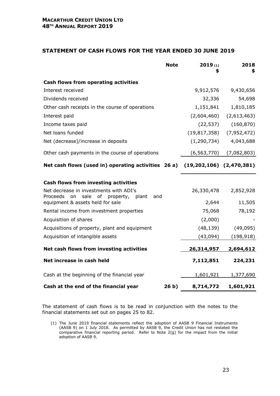#### **STATEMENT OF CASH FLOWS FOR THE YEAR ENDED 30 JUNE 2019**

|                                                                                               | <b>Note</b>     | 2019(1)                      | 2018<br>\$  |
|-----------------------------------------------------------------------------------------------|-----------------|------------------------------|-------------|
| <b>Cash flows from operating activities</b>                                                   |                 |                              |             |
| Interest received                                                                             |                 | 9,912,576                    | 9,430,656   |
| Dividends received                                                                            |                 | 32,336                       | 54,698      |
| Other cash receipts in the course of operations                                               |                 | 1,151,841                    | 1,810,185   |
| Interest paid                                                                                 |                 | (2,604,460)                  | (2,613,463) |
| Income taxes paid                                                                             |                 | (22, 537)                    | (160, 870)  |
| Net loans funded                                                                              |                 | (19, 817, 358)               | (7,952,472) |
| Net (decrease)/increase in deposits                                                           |                 | (1, 290, 734)                | 4,043,688   |
| Other cash payments in the course of operations                                               |                 | (6, 563, 770)                | (7,082,803) |
| Net cash flows (used in) operating activities 26 a)                                           |                 | $(19,202,106)$ $(2,470,381)$ |             |
| <b>Cash flows from investing activities</b>                                                   |                 |                              |             |
| Net decrease in investments with ADI's<br>Proceeds<br>on<br>sale of property,<br>plant<br>and |                 | 26,330,478                   | 2,852,928   |
| equipment & assets held for sale                                                              |                 | 2,644                        | 11,505      |
| Rental income from investment properties                                                      |                 | 75,068                       | 78,192      |
| Acquisition of shares                                                                         |                 | (2,000)                      |             |
| Acquisitions of property, plant and equipment                                                 |                 | (48, 139)                    | (49,095)    |
| Acquisition of intangible assets                                                              |                 | (43,094)                     | (198, 918)  |
| Net cash flows from investing activities                                                      |                 | 26,314,957                   | 2,694,612   |
| Net increase in cash held                                                                     |                 | 7,112,851                    | 224,231     |
| Cash at the beginning of the financial year                                                   |                 | 1,601,921                    | 1,377,690   |
| Cash at the end of the financial year                                                         | 26 <sub>b</sub> | 8,714,772                    | 1,601,921   |

The statement of cash flows is to be read in conjunction with the notes to the financial statements set out on pages 25 to 82.

(1) The June 2019 financial statements reflect the adoption of AASB 9 Financial Instruments (AASB 9) on 1 July 2018. As permitted by AASB 9, the Credit Union has not restated the comparative financial reporting period. Refer to Note 2(g) for the impact from the initial adoption of AASB 9.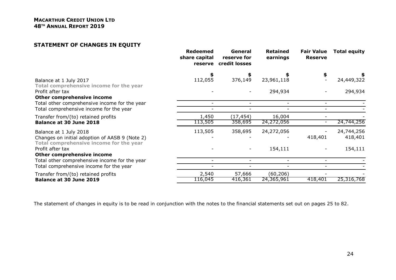### **STATEMENT OF CHANGES IN EQUITY**

|                                                                                                                     | <b>Redeemed</b><br>share capital<br>reserve | General<br>reserve for<br>credit losses | <b>Retained</b><br>earnings | <b>Fair Value</b><br><b>Reserve</b> | <b>Total equity</b>   |
|---------------------------------------------------------------------------------------------------------------------|---------------------------------------------|-----------------------------------------|-----------------------------|-------------------------------------|-----------------------|
| Balance at 1 July 2017<br>Total comprehensive income for the year                                                   | 112,055                                     | \$<br>376,149                           | 23,961,118                  | \$                                  | 24,449,322            |
| Profit after tax<br><b>Other comprehensive income</b>                                                               |                                             |                                         | 294,934                     |                                     | 294,934               |
| Total other comprehensive income for the year<br>Total comprehensive income for the year                            |                                             |                                         |                             |                                     |                       |
| Transfer from/(to) retained profits<br><b>Balance at 30 June 2018</b>                                               | 1,450<br>113,505                            | (17, 454)<br>358,695                    | 16,004<br>24,272,056        |                                     | 24,744,256            |
| Balance at 1 July 2018<br>Changes on initial adoption of AASB 9 (Note 2)<br>Total comprehensive income for the year | 113,505                                     | 358,695                                 | 24,272,056                  | 418,401                             | 24,744,256<br>418,401 |
| Profit after tax<br><b>Other comprehensive income</b>                                                               |                                             |                                         | 154,111                     |                                     | 154,111               |
| Total other comprehensive income for the year<br>Total comprehensive income for the year                            | $\overline{\phantom{a}}$                    |                                         |                             |                                     |                       |
| Transfer from/(to) retained profits<br><b>Balance at 30 June 2019</b>                                               | 2,540<br>116,045                            | 57,666<br>416,361                       | (60, 206)<br>24,365,961     | 418,401                             | 25,316,768            |

The statement of changes in equity is to be read in conjunction with the notes to the financial statements set out on pages 25 to 82.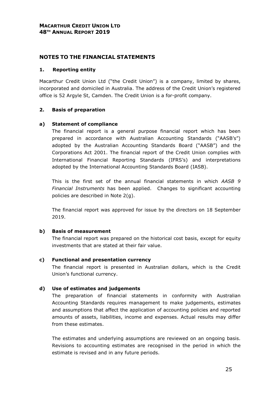#### **1. Reporting entity**

Macarthur Credit Union Ltd ("the Credit Union") is a company, limited by shares, incorporated and domiciled in Australia. The address of the Credit Union's registered office is 52 Argyle St, Camden. The Credit Union is a for-profit company.

# **2. Basis of preparation**

#### **a) Statement of compliance**

The financial report is a general purpose financial report which has been prepared in accordance with Australian Accounting Standards ("AASB's") adopted by the Australian Accounting Standards Board ("AASB") and the Corporations Act 2001. The financial report of the Credit Union complies with International Financial Reporting Standards (IFRS's) and interpretations adopted by the International Accounting Standards Board (IASB).

This is the first set of the annual financial statements in which *AASB 9 Financial Instruments* has been applied. Changes to significant accounting policies are described in Note 2(g).

The financial report was approved for issue by the directors on 18 September 2019.

#### **b) Basis of measurement**

The financial report was prepared on the historical cost basis, except for equity investments that are stated at their fair value.

#### **c) Functional and presentation currency**

The financial report is presented in Australian dollars, which is the Credit Union's functional currency.

# **d) Use of estimates and judgements**

The preparation of financial statements in conformity with Australian Accounting Standards requires management to make judgements, estimates and assumptions that affect the application of accounting policies and reported amounts of assets, liabilities, income and expenses. Actual results may differ from these estimates.

The estimates and underlying assumptions are reviewed on an ongoing basis. Revisions to accounting estimates are recognised in the period in which the estimate is revised and in any future periods.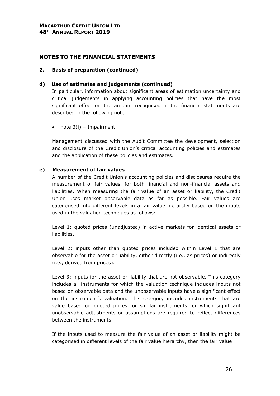#### **2. Basis of preparation (continued)**

#### **d) Use of estimates and judgements (continued)**

In particular, information about significant areas of estimation uncertainty and critical judgements in applying accounting policies that have the most significant effect on the amount recognised in the financial statements are described in the following note:

• note  $3(i)$  – Impairment

Management discussed with the Audit Committee the development, selection and disclosure of the Credit Union's critical accounting policies and estimates and the application of these policies and estimates.

#### **e) Measurement of fair values**

A number of the Credit Union's accounting policies and disclosures require the measurement of fair values, for both financial and non-financial assets and liabilities. When measuring the fair value of an asset or liability, the Credit Union uses market observable data as far as possible. Fair values are categorised into different levels in a fair value hierarchy based on the inputs used in the valuation techniques as follows:

Level 1: quoted prices (unadjusted) in active markets for identical assets or liabilities.

Level 2: inputs other than quoted prices included within Level 1 that are observable for the asset or liability, either directly (i.e., as prices) or indirectly (i.e., derived from prices).

Level 3: inputs for the asset or liability that are not observable. This category includes all instruments for which the valuation technique includes inputs not based on observable data and the unobservable inputs have a significant effect on the instrument's valuation. This category includes instruments that are value based on quoted prices for similar instruments for which significant unobservable adjustments or assumptions are required to reflect differences between the instruments.

If the inputs used to measure the fair value of an asset or liability might be categorised in different levels of the fair value hierarchy, then the fair value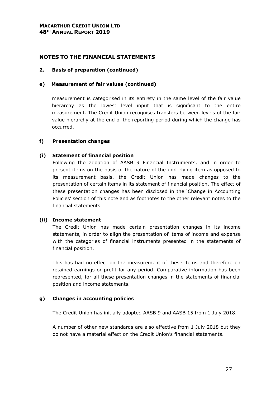#### **2. Basis of preparation (continued)**

#### **e) Measurement of fair values (continued)**

measurement is categorised in its entirety in the same level of the fair value hierarchy as the lowest level input that is significant to the entire measurement. The Credit Union recognises transfers between levels of the fair value hierarchy at the end of the reporting period during which the change has occurred.

#### **f) Presentation changes**

#### **(i) Statement of financial position**

Following the adoption of AASB 9 Financial Instruments, and in order to present items on the basis of the nature of the underlying item as opposed to its measurement basis, the Credit Union has made changes to the presentation of certain items in its statement of financial position. The effect of these presentation changes has been disclosed in the 'Change in Accounting Policies' section of this note and as footnotes to the other relevant notes to the financial statements.

#### **(ii) Income statement**

The Credit Union has made certain presentation changes in its income statements, in order to align the presentation of items of income and expense with the categories of financial instruments presented in the statements of financial position.

This has had no effect on the measurement of these items and therefore on retained earnings or profit for any period. Comparative information has been represented, for all these presentation changes in the statements of financial position and income statements.

#### **g) Changes in accounting policies**

The Credit Union has initially adopted AASB 9 and AASB 15 from 1 July 2018.

A number of other new standards are also effective from 1 July 2018 but they do not have a material effect on the Credit Union's financial statements.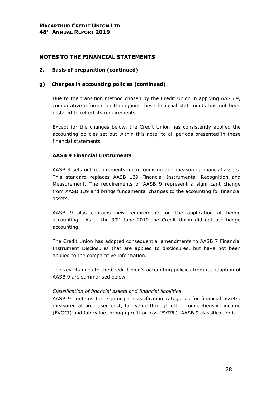#### **2. Basis of preparation (continued)**

#### **g) Changes in accounting policies (continued)**

Due to the transition method chosen by the Credit Union in applying AASB 9, comparative information throughout these financial statements has not been restated to reflect its requirements.

Except for the changes below, the Credit Union has consistently applied the accounting policies set out within this note, to all periods presented in these financial statements.

#### **AASB 9 Financial Instruments**

AASB 9 sets out requirements for recognising and measuring financial assets. This standard replaces AASB 139 Financial Instruments: Recognition and Measurement. The requirements of AASB 9 represent a significant change from AASB 139 and brings fundamental changes to the accounting for financial assets.

AASB 9 also contains new requirements on the application of hedge accounting. As at the  $30<sup>th</sup>$  June 2019 the Credit Union did not use hedge accounting.

The Credit Union has adopted consequential amendments to AASB 7 Financial Instrument Disclosures that are applied to disclosures, but have not been applied to the comparative information.

The key changes to the Credit Union's accounting policies from its adoption of AASB 9 are summarised below.

#### *Classification of financial assets and financial liabilities*

AASB 9 contains three principal classification categories for financial assets: measured at amortised cost, fair value through other comprehensive income (FVOCI) and fair value through profit or loss (FVTPL). AASB 9 classification is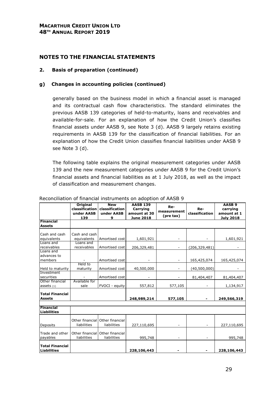#### **2. Basis of preparation (continued)**

#### **g) Changes in accounting policies (continued)**

generally based on the business model in which a financial asset is managed and its contractual cash flow characteristics. The standard eliminates the previous AASB 139 categories of held-to-maturity, loans and receivables and available-for-sale. For an explanation of how the Credit Union's classifies financial assets under AASB 9, see Note 3 (d). AASB 9 largely retains existing requirements in AASB 139 for the classification of financial liabilities. For an explanation of how the Credit Union classifies financial liabilities under AASB 9 see Note 3 (d).

The following table explains the original measurement categories under AASB 139 and the new measurement categories under AASB 9 for the Credit Union's financial assets and financial liabilities as at 1 July 2018, as well as the impact of classification and measurement changes.

|                        | <b>Original</b> | <b>New</b>      | <b>AASB 139</b>  |             |                | AASB <sub>9</sub> |
|------------------------|-----------------|-----------------|------------------|-------------|----------------|-------------------|
|                        | classification  | classification  | Re-<br>Carrying  |             | Re-            | carrying          |
|                        | under AASB      | under AASB      | amount at 30     | measurement | classification | amount at 1       |
|                        | 139             | 9               | <b>June 2018</b> | (pre tax)   |                | <b>July 2018</b>  |
| Financial              |                 |                 |                  |             |                |                   |
| <b>Assets</b>          |                 |                 |                  |             |                |                   |
|                        |                 |                 |                  |             |                |                   |
| Cash and cash          | Cash and cash   |                 |                  |             |                |                   |
| equivalents            | equivalents     | Amortised cost  | 1,601,921        |             |                | 1,601,921         |
| Loans and              | Loans and       |                 |                  |             |                |                   |
| receivables            | receivables     | Amortised cost  | 206,329,481      |             | (206,329,481)  |                   |
| Loans and              |                 |                 |                  |             |                |                   |
| advances to            |                 |                 |                  |             |                |                   |
| members                |                 | Amortised cost  |                  |             | 165,425,074    | 165,425,074       |
|                        | Held to         |                 |                  |             |                |                   |
| Held to maturity       | maturity        | Amortised cost  | 40,500,000       |             | (40,500,000)   |                   |
| Investment             |                 |                 |                  |             |                |                   |
| securities             |                 | Amortised cost  |                  |             | 81,404,407     | 81,404,407        |
| Other financial        | Available for   |                 |                  |             |                |                   |
| assets $(1)$           | sale            | FVOCI - equity  | 557,812          | 577,105     |                | 1,134,917         |
|                        |                 |                 |                  |             |                |                   |
| <b>Total Financial</b> |                 |                 |                  |             |                |                   |
| <b>Assets</b>          |                 |                 | 248,989,214      | 577,105     |                | 249,566,319       |
|                        |                 |                 |                  |             |                |                   |
| Financial              |                 |                 |                  |             |                |                   |
| <b>Liabilities</b>     |                 |                 |                  |             |                |                   |
|                        |                 |                 |                  |             |                |                   |
|                        | Other financial | Other financial |                  |             |                |                   |
| Deposits               | liabilities     | liabilities     | 227,110,695      |             |                | 227,110,695       |
|                        |                 |                 |                  |             |                |                   |
| Trade and other        | Other financial | Other financial |                  |             |                |                   |
| payables               | liabilities     | liabilities     | 995,748          |             |                | 995,748           |
| <b>Total Financial</b> |                 |                 |                  |             |                |                   |
|                        |                 |                 |                  |             |                |                   |
| <b>Liabilities</b>     |                 |                 | 228,106,443      |             |                | 228,106,443       |

#### Reconciliation of financial instruments on adoption of AASB 9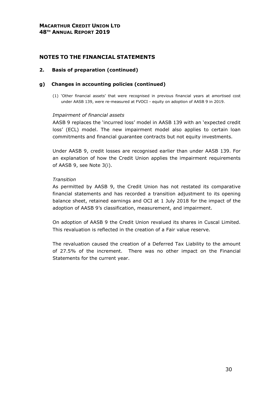#### **2. Basis of preparation (continued)**

#### **g) Changes in accounting policies (continued)**

(1) 'Other financial assets' that were recognised in previous financial years at amortised cost under AASB 139, were re-measured at FVOCI - equity on adoption of AASB 9 in 2019.

#### *Impairment of financial assets*

AASB 9 replaces the 'incurred loss' model in AASB 139 with an 'expected credit loss' (ECL) model. The new impairment model also applies to certain loan commitments and financial guarantee contracts but not equity investments.

Under AASB 9, credit losses are recognised earlier than under AASB 139. For an explanation of how the Credit Union applies the impairment requirements of AASB 9, see Note 3(i).

#### *Transition*

As permitted by AASB 9, the Credit Union has not restated its comparative financial statements and has recorded a transition adjustment to its opening balance sheet, retained earnings and OCI at 1 July 2018 for the impact of the adoption of AASB 9's classification, measurement, and impairment.

On adoption of AASB 9 the Credit Union revalued its shares in Cuscal Limited. This revaluation is reflected in the creation of a Fair value reserve.

The revaluation caused the creation of a Deferred Tax Liability to the amount of 27.5% of the increment. There was no other impact on the Financial Statements for the current year.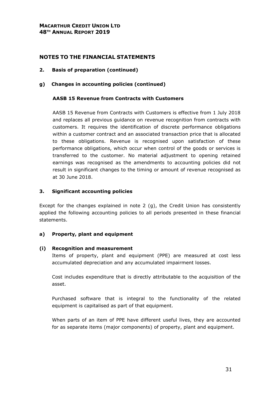- **2. Basis of preparation (continued)**
- **g) Changes in accounting policies (continued)**

#### **AASB 15 Revenue from Contracts with Customers**

AASB 15 Revenue from Contracts with Customers is effective from 1 July 2018 and replaces all previous guidance on revenue recognition from contracts with customers. It requires the identification of discrete performance obligations within a customer contract and an associated transaction price that is allocated to these obligations. Revenue is recognised upon satisfaction of these performance obligations, which occur when control of the goods or services is transferred to the customer. No material adjustment to opening retained earnings was recognised as the amendments to accounting policies did not result in significant changes to the timing or amount of revenue recognised as at 30 June 2018.

#### **3. Significant accounting policies**

Except for the changes explained in note 2 (g), the Credit Union has consistently applied the following accounting policies to all periods presented in these financial statements.

#### **a) Property, plant and equipment**

#### **(i) Recognition and measurement**

Items of property, plant and equipment (PPE) are measured at cost less accumulated depreciation and any accumulated impairment losses.

Cost includes expenditure that is directly attributable to the acquisition of the asset.

Purchased software that is integral to the functionality of the related equipment is capitalised as part of that equipment.

When parts of an item of PPE have different useful lives, they are accounted for as separate items (major components) of property, plant and equipment.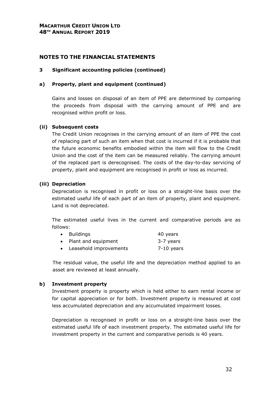#### **3 Significant accounting policies (continued)**

#### **a) Property, plant and equipment (continued)**

Gains and losses on disposal of an item of PPE are determined by comparing the proceeds from disposal with the carrying amount of PPE and are recognised within profit or loss.

#### **(ii) Subsequent costs**

The Credit Union recognises in the carrying amount of an item of PPE the cost of replacing part of such an item when that cost is incurred if it is probable that the future economic benefits embodied within the item will flow to the Credit Union and the cost of the item can be measured reliably. The carrying amount of the replaced part is derecognised. The costs of the day-to-day servicing of property, plant and equipment are recognised in profit or loss as incurred.

#### **(iii) Depreciation**

Depreciation is recognised in profit or loss on a straight-line basis over the estimated useful life of each part of an item of property, plant and equipment. Land is not depreciated.

The estimated useful lives in the current and comparative periods are as follows:

| • Buildings              | 40 years     |
|--------------------------|--------------|
| • Plant and equipment    | 3-7 years    |
| • Leasehold improvements | $7-10$ years |

The residual value, the useful life and the depreciation method applied to an asset are reviewed at least annually.

#### **b) Investment property**

Investment property is property which is held either to earn rental income or for capital appreciation or for both. Investment property is measured at cost less accumulated depreciation and any accumulated impairment losses.

Depreciation is recognised in profit or loss on a straight-line basis over the estimated useful life of each investment property. The estimated useful life for investment property in the current and comparative periods is 40 years.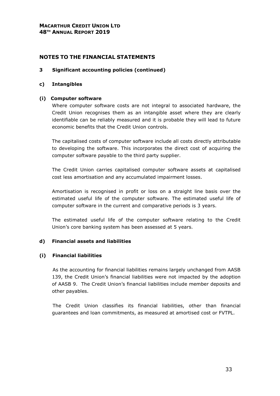#### **NOTES TO THE FINANCIAL STATEMENTS**

#### **3 Significant accounting policies (continued)**

#### **c) Intangibles**

#### **(i) Computer software**

Where computer software costs are not integral to associated hardware, the Credit Union recognises them as an intangible asset where they are clearly identifiable can be reliably measured and it is probable they will lead to future economic benefits that the Credit Union controls.

The capitalised costs of computer software include all costs directly attributable to developing the software. This incorporates the direct cost of acquiring the computer software payable to the third party supplier.

The Credit Union carries capitalised computer software assets at capitalised cost less amortisation and any accumulated impairment losses.

Amortisation is recognised in profit or loss on a straight line basis over the estimated useful life of the computer software. The estimated useful life of computer software in the current and comparative periods is 3 years.

The estimated useful life of the computer software relating to the Credit Union's core banking system has been assessed at 5 years.

#### **d) Financial assets and liabilities**

#### **(i) Financial liabilities**

As the accounting for financial liabilities remains largely unchanged from AASB 139, the Credit Union's financial liabilities were not impacted by the adoption of AASB 9. The Credit Union's financial liabilities include member deposits and other payables.

The Credit Union classifies its financial liabilities, other than financial guarantees and loan commitments, as measured at amortised cost or FVTPL.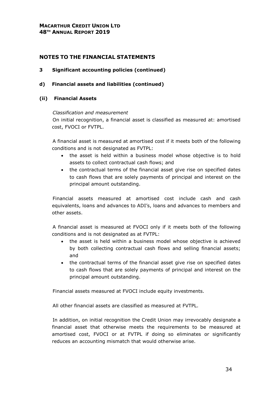#### **3 Significant accounting policies (continued)**

**d) Financial assets and liabilities (continued)** 

#### **(ii) Financial Assets**

#### *Classification and measurement*

On initial recognition, a financial asset is classified as measured at: amortised cost, FVOCI or FVTPL.

A financial asset is measured at amortised cost if it meets both of the following conditions and is not designated as FVTPL:

- the asset is held within a business model whose objective is to hold assets to collect contractual cash flows; and
- the contractual terms of the financial asset give rise on specified dates to cash flows that are solely payments of principal and interest on the principal amount outstanding.

Financial assets measured at amortised cost include cash and cash equivalents, loans and advances to ADI's, loans and advances to members and other assets.

A financial asset is measured at FVOCI only if it meets both of the following conditions and is not designated as at FVTPL:

- the asset is held within a business model whose objective is achieved by both collecting contractual cash flows and selling financial assets; and
- the contractual terms of the financial asset give rise on specified dates to cash flows that are solely payments of principal and interest on the principal amount outstanding.

Financial assets measured at FVOCI include equity investments.

All other financial assets are classified as measured at FVTPL.

In addition, on initial recognition the Credit Union may irrevocably designate a financial asset that otherwise meets the requirements to be measured at amortised cost, FVOCI or at FVTPL if doing so eliminates or significantly reduces an accounting mismatch that would otherwise arise.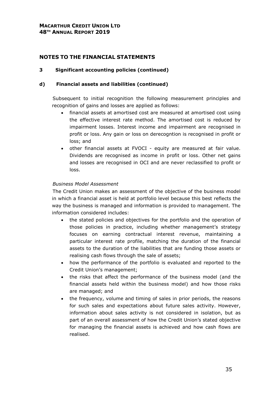#### **3 Significant accounting policies (continued)**

#### **d) Financial assets and liabilities (continued)**

Subsequent to initial recognition the following measurement principles and recognition of gains and losses are applied as follows:

- financial assets at amortised cost are measured at amortised cost using the effective interest rate method. The amortised cost is reduced by impairment losses. Interest income and impairment are recognised in profit or loss. Any gain or loss on derecogntion is recognised in profit or loss; and
- other financial assets at FVOCI equity are measured at fair value. Dividends are recognised as income in profit or loss. Other net gains and losses are recognised in OCI and are never reclassified to profit or loss.

#### *Business Model Assessment*

The Credit Union makes an assessment of the objective of the business model in which a financial asset is held at portfolio level because this best reflects the way the business is managed and information is provided to management. The information considered includes:

- the stated policies and objectives for the portfolio and the operation of those policies in practice, including whether management's strategy focuses on earning contractual interest revenue, maintaining a particular interest rate profile, matching the duration of the financial assets to the duration of the liabilities that are funding those assets or realising cash flows through the sale of assets;
- how the performance of the portfolio is evaluated and reported to the Credit Union's management;
- the risks that affect the performance of the business model (and the financial assets held within the business model) and how those risks are managed; and
- the frequency, volume and timing of sales in prior periods, the reasons for such sales and expectations about future sales activity. However, information about sales activity is not considered in isolation, but as part of an overall assessment of how the Credit Union's stated objective for managing the financial assets is achieved and how cash flows are realised.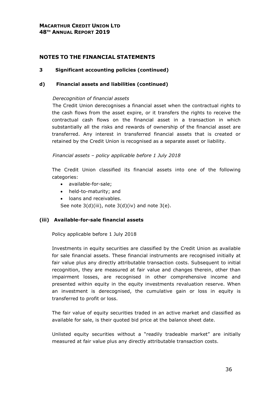#### **3 Significant accounting policies (continued)**

#### **d) Financial assets and liabilities (continued)**

#### *Derecognition of financial assets*

The Credit Union derecognises a financial asset when the contractual rights to the cash flows from the asset expire, or it transfers the rights to receive the contractual cash flows on the financial asset in a transaction in which substantially all the risks and rewards of ownership of the financial asset are transferred. Any interest in transferred financial assets that is created or retained by the Credit Union is recognised as a separate asset or liability.

*Financial assets – policy applicable before 1 July 2018* 

The Credit Union classified its financial assets into one of the following categories:

- available-for-sale;
- held-to-maturity; and
- loans and receivables.

See note 3(d)(iii), note 3(d)(iv) and note 3(e).

#### **(iii) Available-for-sale financial assets**

Policy applicable before 1 July 2018

Investments in equity securities are classified by the Credit Union as available for sale financial assets. These financial instruments are recognised initially at fair value plus any directly attributable transaction costs. Subsequent to initial recognition, they are measured at fair value and changes therein, other than impairment losses, are recognised in other comprehensive income and presented within equity in the equity investments revaluation reserve. When an investment is derecognised, the cumulative gain or loss in equity is transferred to profit or loss.

The fair value of equity securities traded in an active market and classified as available for sale, is their quoted bid price at the balance sheet date.

Unlisted equity securities without a "readily tradeable market" are initially measured at fair value plus any directly attributable transaction costs.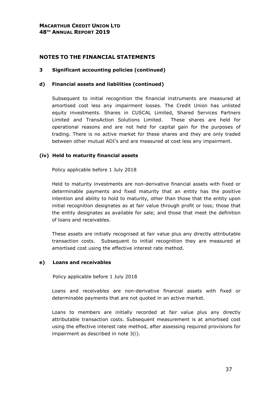#### **3 Significant accounting policies (continued)**

#### **d) Financial assets and liabilities (continued)**

Subsequent to initial recognition the financial instruments are measured at amortised cost less any impairment losses. The Credit Union has unlisted equity investments. Shares in CUSCAL Limited, Shared Services Partners Limited and TransAction Solutions Limited. These shares are held for operational reasons and are not held for capital gain for the purposes of trading. There is no active market for these shares and they are only traded between other mutual ADI's and are measured at cost less any impairment.

#### **(iv) Held to maturity financial assets**

Policy applicable before 1 July 2018

Held to maturity investments are non-derivative financial assets with fixed or determinable payments and fixed maturity that an entity has the positive intention and ability to hold to maturity, other than those that the entity upon initial recognition designates as at fair value through profit or loss; those that the entity designates as available for sale; and those that meet the definition of loans and receivables.

These assets are initially recognised at fair value plus any directly attributable transaction costs. Subsequent to initial recognition they are measured at amortised cost using the effective interest rate method.

## **e) Loans and receivables**

Policy applicable before 1 July 2018

Loans and receivables are non-derivative financial assets with fixed or determinable payments that are not quoted in an active market.

Loans to members are initially recorded at fair value plus any directly attributable transaction costs. Subsequent measurement is at amortised cost using the effective interest rate method, after assessing required provisions for impairment as described in note 3(i).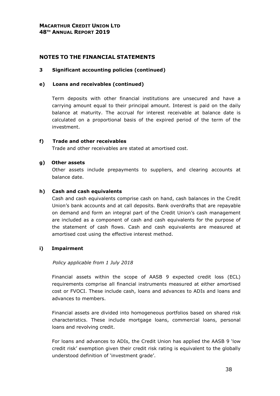# **3 Significant accounting policies (continued)**

## **e) Loans and receivables (continued)**

Term deposits with other financial institutions are unsecured and have a carrying amount equal to their principal amount. Interest is paid on the daily balance at maturity. The accrual for interest receivable at balance date is calculated on a proportional basis of the expired period of the term of the investment.

## **f) Trade and other receivables**

Trade and other receivables are stated at amortised cost.

## **g) Other assets**

Other assets include prepayments to suppliers, and clearing accounts at balance date.

## **h) Cash and cash equivalents**

Cash and cash equivalents comprise cash on hand, cash balances in the Credit Union's bank accounts and at call deposits. Bank overdrafts that are repayable on demand and form an integral part of the Credit Union's cash management are included as a component of cash and cash equivalents for the purpose of the statement of cash flows. Cash and cash equivalents are measured at amortised cost using the effective interest method.

# **i) Impairment**

## *Policy applicable from 1 July 2018*

Financial assets within the scope of AASB 9 expected credit loss (ECL) requirements comprise all financial instruments measured at either amortised cost or FVOCI. These include cash, loans and advances to ADIs and loans and advances to members.

Financial assets are divided into homogeneous portfolios based on shared risk characteristics. These include mortgage loans, commercial loans, personal loans and revolving credit.

For loans and advances to ADIs, the Credit Union has applied the AASB 9 'low credit risk' exemption given their credit risk rating is equivalent to the globally understood definition of 'investment grade'.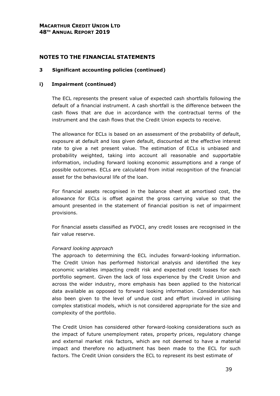# **NOTES TO THE FINANCIAL STATEMENTS**

## **3 Significant accounting policies (continued)**

## **i) Impairment (continued)**

The ECL represents the present value of expected cash shortfalls following the default of a financial instrument. A cash shortfall is the difference between the cash flows that are due in accordance with the contractual terms of the instrument and the cash flows that the Credit Union expects to receive.

The allowance for ECLs is based on an assessment of the probability of default, exposure at default and loss given default, discounted at the effective interest rate to give a net present value. The estimation of ECLs is unbiased and probability weighted, taking into account all reasonable and supportable information, including forward looking economic assumptions and a range of possible outcomes. ECLs are calculated from initial recognition of the financial asset for the behavioural life of the loan.

For financial assets recognised in the balance sheet at amortised cost, the allowance for ECLs is offset against the gross carrying value so that the amount presented in the statement of financial position is net of impairment provisions.

For financial assets classified as FVOCI, any credit losses are recognised in the fair value reserve.

## *Forward looking approach*

The approach to determining the ECL includes forward-looking information. The Credit Union has performed historical analysis and identified the key economic variables impacting credit risk and expected credit losses for each portfolio segment. Given the lack of loss experience by the Credit Union and across the wider industry, more emphasis has been applied to the historical data available as opposed to forward looking information. Consideration has also been given to the level of undue cost and effort involved in utilising complex statistical models, which is not considered appropriate for the size and complexity of the portfolio.

The Credit Union has considered other forward-looking considerations such as the impact of future unemployment rates, property prices, regulatory change and external market risk factors, which are not deemed to have a material impact and therefore no adjustment has been made to the ECL for such factors. The Credit Union considers the ECL to represent its best estimate of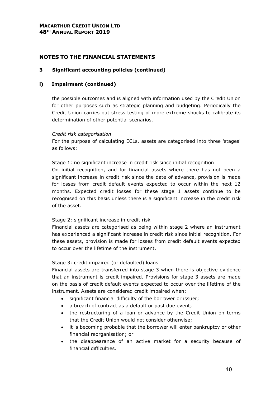# **3 Significant accounting policies (continued)**

## **i) Impairment (continued)**

the possible outcomes and is aligned with information used by the Credit Union for other purposes such as strategic planning and budgeting. Periodically the Credit Union carries out stress testing of more extreme shocks to calibrate its determination of other potential scenarios.

## *Credit risk categorisation*

For the purpose of calculating ECLs, assets are categorised into three 'stages' as follows:

#### Stage 1: no significant increase in credit risk since initial recognition

On initial recognition, and for financial assets where there has not been a significant increase in credit risk since the date of advance, provision is made for losses from credit default events expected to occur within the next 12 months. Expected credit losses for these stage 1 assets continue to be recognised on this basis unless there is a significant increase in the credit risk of the asset.

## Stage 2: significant increase in credit risk

Financial assets are categorised as being within stage 2 where an instrument has experienced a significant increase in credit risk since initial recognition. For these assets, provision is made for losses from credit default events expected to occur over the lifetime of the instrument.

## Stage 3: credit impaired (or defaulted) loans

Financial assets are transferred into stage 3 when there is objective evidence that an instrument is credit impaired. Provisions for stage 3 assets are made on the basis of credit default events expected to occur over the lifetime of the instrument. Assets are considered credit impaired when:

- significant financial difficulty of the borrower or issuer;
- a breach of contract as a default or past due event;
- the restructuring of a loan or advance by the Credit Union on terms that the Credit Union would not consider otherwise;
- it is becoming probable that the borrower will enter bankruptcy or other financial reorganisation; or
- the disappearance of an active market for a security because of financial difficulties.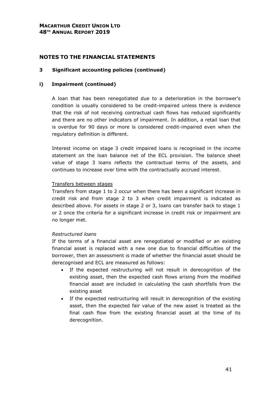# **NOTES TO THE FINANCIAL STATEMENTS**

#### **3 Significant accounting policies (continued)**

#### **i) Impairment (continued)**

A loan that has been renegotiated due to a deterioration in the borrower's condition is usually considered to be credit-impaired unless there is evidence that the risk of not receiving contractual cash flows has reduced significantly and there are no other indicators of impairment. In addition, a retail loan that is overdue for 90 days or more is considered credit-impaired even when the regulatory definition is different.

Interest income on stage 3 credit impaired loans is recognised in the income statement on the loan balance net of the ECL provision. The balance sheet value of stage 3 loans reflects the contractual terms of the assets, and continues to increase over time with the contractually accrued interest.

#### Transfers between stages

Transfers from stage 1 to 2 occur when there has been a significant increase in credit risk and from stage 2 to 3 when credit impairment is indicated as described above. For assets in stage 2 or 3, loans can transfer back to stage 1 or 2 once the criteria for a significant increase in credit risk or impairment are no longer met.

#### *Restructured loans*

If the terms of a financial asset are renegotiated or modified or an existing financial asset is replaced with a new one due to financial difficulties of the borrower, then an assessment is made of whether the financial asset should be derecognised and ECL are measured as follows:

- If the expected restructuring will not result in derecognition of the existing asset, then the expected cash flows arising from the modified financial asset are included in calculating the cash shortfalls from the existing asset
- If the expected restructuring will result in derecognition of the existing asset, then the expected fair value of the new asset is treated as the final cash flow from the existing financial asset at the time of its derecognition.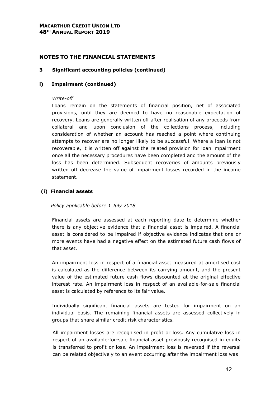## **3 Significant accounting policies (continued)**

## **i) Impairment (continued)**

## *Write-off*

Loans remain on the statements of financial position, net of associated provisions, until they are deemed to have no reasonable expectation of recovery. Loans are generally written off after realisation of any proceeds from collateral and upon conclusion of the collections process, including consideration of whether an account has reached a point where continuing attempts to recover are no longer likely to be successful. Where a loan is not recoverable, it is written off against the related provision for loan impairment once all the necessary procedures have been completed and the amount of the loss has been determined. Subsequent recoveries of amounts previously written off decrease the value of impairment losses recorded in the income statement.

## **(i) Financial assets**

*Policy applicable before 1 July 2018* 

Financial assets are assessed at each reporting date to determine whether there is any objective evidence that a financial asset is impaired. A financial asset is considered to be impaired if objective evidence indicates that one or more events have had a negative effect on the estimated future cash flows of that asset.

An impairment loss in respect of a financial asset measured at amortised cost is calculated as the difference between its carrying amount, and the present value of the estimated future cash flows discounted at the original effective interest rate. An impairment loss in respect of an available-for-sale financial asset is calculated by reference to its fair value.

Individually significant financial assets are tested for impairment on an individual basis. The remaining financial assets are assessed collectively in groups that share similar credit risk characteristics.

All impairment losses are recognised in profit or loss. Any cumulative loss in respect of an available-for-sale financial asset previously recognised in equity is transferred to profit or loss. An impairment loss is reversed if the reversal can be related objectively to an event occurring after the impairment loss was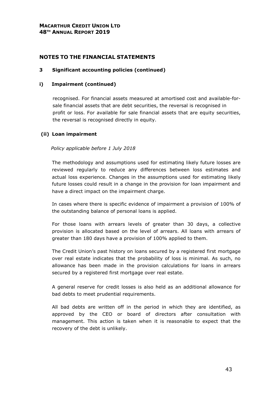# **3 Significant accounting policies (continued)**

## **i) Impairment (continued)**

recognised. For financial assets measured at amortised cost and available-forsale financial assets that are debt securities, the reversal is recognised in profit or loss. For available for sale financial assets that are equity securities, the reversal is recognised directly in equity.

# **(ii) Loan impairment**

## *Policy applicable before 1 July 2018*

The methodology and assumptions used for estimating likely future losses are reviewed regularly to reduce any differences between loss estimates and actual loss experience. Changes in the assumptions used for estimating likely future losses could result in a change in the provision for loan impairment and have a direct impact on the impairment charge.

In cases where there is specific evidence of impairment a provision of 100% of the outstanding balance of personal loans is applied.

For those loans with arrears levels of greater than 30 days, a collective provision is allocated based on the level of arrears. All loans with arrears of greater than 180 days have a provision of 100% applied to them.

The Credit Union's past history on loans secured by a registered first mortgage over real estate indicates that the probability of loss is minimal. As such, no allowance has been made in the provision calculations for loans in arrears secured by a registered first mortgage over real estate.

A general reserve for credit losses is also held as an additional allowance for bad debts to meet prudential requirements.

All bad debts are written off in the period in which they are identified, as approved by the CEO or board of directors after consultation with management. This action is taken when it is reasonable to expect that the recovery of the debt is unlikely.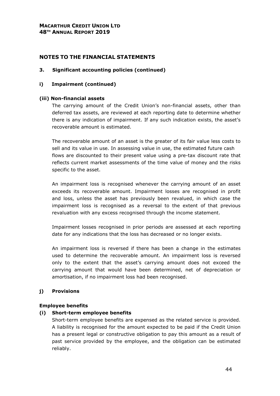# **NOTES TO THE FINANCIAL STATEMENTS**

## **3. Significant accounting policies (continued)**

## **i) Impairment (continued)**

## **(iii) Non-financial assets**

The carrying amount of the Credit Union's non-financial assets, other than deferred tax assets, are reviewed at each reporting date to determine whether there is any indication of impairment. If any such indication exists, the asset's recoverable amount is estimated.

The recoverable amount of an asset is the greater of its fair value less costs to sell and its value in use. In assessing value in use, the estimated future cash flows are discounted to their present value using a pre-tax discount rate that reflects current market assessments of the time value of money and the risks specific to the asset.

An impairment loss is recognised whenever the carrying amount of an asset exceeds its recoverable amount. Impairment losses are recognised in profit and loss, unless the asset has previously been revalued, in which case the impairment loss is recognised as a reversal to the extent of that previous revaluation with any excess recognised through the income statement.

Impairment losses recognised in prior periods are assessed at each reporting date for any indications that the loss has decreased or no longer exists.

An impairment loss is reversed if there has been a change in the estimates used to determine the recoverable amount. An impairment loss is reversed only to the extent that the asset's carrying amount does not exceed the carrying amount that would have been determined, net of depreciation or amortisation, if no impairment loss had been recognised.

# **j) Provisions**

## **Employee benefits**

## **(i) Short-term employee benefits**

Short-term employee benefits are expensed as the related service is provided. A liability is recognised for the amount expected to be paid if the Credit Union has a present legal or constructive obligation to pay this amount as a result of past service provided by the employee, and the obligation can be estimated reliably.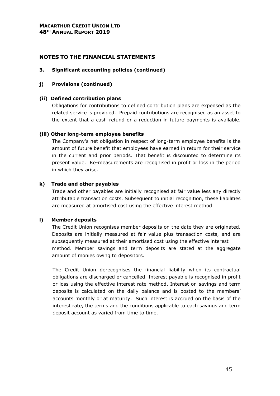# **NOTES TO THE FINANCIAL STATEMENTS**

## **3. Significant accounting policies (continued)**

# **j) Provisions (continued)**

# **(ii) Defined contribution plans**

Obligations for contributions to defined contribution plans are expensed as the related service is provided. Prepaid contributions are recognised as an asset to the extent that a cash refund or a reduction in future payments is available.

# **(iii) Other long-term employee benefits**

The Company's net obligation in respect of long-term employee benefits is the amount of future benefit that employees have earned in return for their service in the current and prior periods. That benefit is discounted to determine its present value. Re-measurements are recognised in profit or loss in the period in which they arise.

# **k) Trade and other payables**

Trade and other payables are initially recognised at fair value less any directly attributable transaction costs. Subsequent to initial recognition, these liabilities are measured at amortised cost using the effective interest method

## **l) Member deposits**

The Credit Union recognises member deposits on the date they are originated. Deposits are initially measured at fair value plus transaction costs, and are subsequently measured at their amortised cost using the effective interest method. Member savings and term deposits are stated at the aggregate amount of monies owing to depositors.

The Credit Union derecognises the financial liability when its contractual obligations are discharged or cancelled. Interest payable is recognised in profit or loss using the effective interest rate method. Interest on savings and term deposits is calculated on the daily balance and is posted to the members' accounts monthly or at maturity. Such interest is accrued on the basis of the interest rate, the terms and the conditions applicable to each savings and term deposit account as varied from time to time.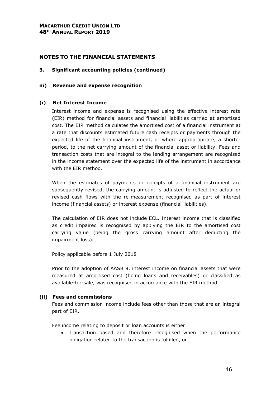#### **3. Significant accounting policies (continued)**

#### **m) Revenue and expense recognition**

#### **(i) Net Interest Income**

Interest income and expense is recognised using the effective interest rate (EIR) method for financial assets and financial liabilities carried at amortised cost. The EIR method calculates the amortised cost of a financial instrument at a rate that discounts estimated future cash receipts or payments through the expected life of the financial instrument, or where appropropriate, a shorter period, to the net carrying amount of the financial asset or liability. Fees and transaction costs that are integral to the lending arrangement are recognised in the income statement over the expected life of the instrument in accordance with the EIR method.

When the estimates of payments or receipts of a financial instrument are subsequently revised, the carrying amount is adjusted to reflect the actual or revised cash flows with the re-measurement recognised as part of interest income (financial assets) or interest expense (financial liabilities).

The calculation of EIR does not include ECL. Interest income that is classified as credit impaired is recognised by applying the EIR to the amortised cost carrying value (being the gross carrying amount after deducting the impairment loss).

Policy applicable before 1 July 2018

Prior to the adoption of AASB 9, interest income on financial assets that were measured at amortised cost (being loans and receivables) or classified as available-for-sale, was recognised in accordance with the EIR method.

#### **(ii) Fees and commissions**

Fees and commission income include fees other than those that are an integral part of EIR.

Fee income relating to deposit or loan accounts is either:

• transaction based and therefore recognised when the performance obligation related to the transaction is fulfilled, or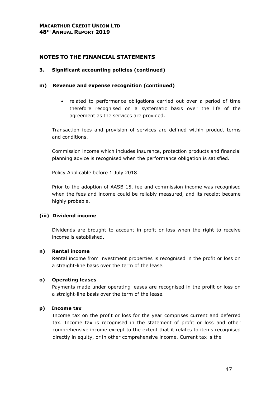#### **3. Significant accounting policies (continued)**

#### **m) Revenue and expense recognition (continued)**

• related to performance obligations carried out over a period of time therefore recognised on a systematic basis over the life of the agreement as the services are provided.

Transaction fees and provision of services are defined within product terms and conditions.

Commission income which includes insurance, protection products and financial planning advice is recognised when the performance obligation is satisfied.

Policy Applicable before 1 July 2018

Prior to the adoption of AASB 15, fee and commission income was recognised when the fees and income could be reliably measured, and its receipt became highly probable.

#### **(iii) Dividend income**

Dividends are brought to account in profit or loss when the right to receive income is established.

## **n) Rental income**

Rental income from investment properties is recognised in the profit or loss on a straight-line basis over the term of the lease.

#### **o) Operating leases**

Payments made under operating leases are recognised in the profit or loss on a straight-line basis over the term of the lease.

## **p) Income tax**

Income tax on the profit or loss for the year comprises current and deferred tax. Income tax is recognised in the statement of profit or loss and other comprehensive income except to the extent that it relates to items recognised directly in equity, or in other comprehensive income. Current tax is the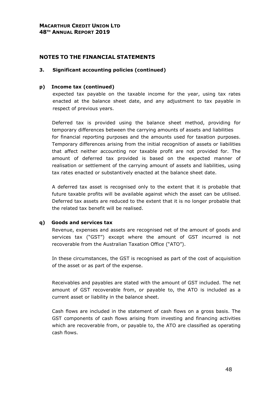## **3. Significant accounting policies (continued)**

# **p) Income tax (continued)**

expected tax payable on the taxable income for the year, using tax rates enacted at the balance sheet date, and any adjustment to tax payable in respect of previous years.

Deferred tax is provided using the balance sheet method, providing for temporary differences between the carrying amounts of assets and liabilities for financial reporting purposes and the amounts used for taxation purposes. Temporary differences arising from the initial recognition of assets or liabilities that affect neither accounting nor taxable profit are not provided for. The amount of deferred tax provided is based on the expected manner of realisation or settlement of the carrying amount of assets and liabilities, using tax rates enacted or substantively enacted at the balance sheet date.

A deferred tax asset is recognised only to the extent that it is probable that future taxable profits will be available against which the asset can be utilised. Deferred tax assets are reduced to the extent that it is no longer probable that the related tax benefit will be realised.

## **q) Goods and services tax**

Revenue, expenses and assets are recognised net of the amount of goods and services tax ("GST") except where the amount of GST incurred is not recoverable from the Australian Taxation Office ("ATO").

In these circumstances, the GST is recognised as part of the cost of acquisition of the asset or as part of the expense.

Receivables and payables are stated with the amount of GST included. The net amount of GST recoverable from, or payable to, the ATO is included as a current asset or liability in the balance sheet.

Cash flows are included in the statement of cash flows on a gross basis. The GST components of cash flows arising from investing and financing activities which are recoverable from, or payable to, the ATO are classified as operating cash flows.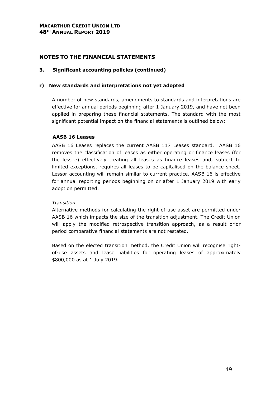## **3. Significant accounting policies (continued)**

## **r) New standards and interpretations not yet adopted**

A number of new standards, amendments to standards and interpretations are effective for annual periods beginning after 1 January 2019, and have not been applied in preparing these financial statements. The standard with the most significant potential impact on the financial statements is outlined below:

# **AASB 16 Leases**

AASB 16 Leases replaces the current AASB 117 Leases standard. AASB 16 removes the classification of leases as either operating or finance leases (for the lessee) effectively treating all leases as finance leases and, subject to limited exceptions, requires all leases to be capitalised on the balance sheet. Lessor accounting will remain similar to current practice. AASB 16 is effective for annual reporting periods beginning on or after 1 January 2019 with early adoption permitted.

## *Transition*

Alternative methods for calculating the right-of-use asset are permitted under AASB 16 which impacts the size of the transition adjustment. The Credit Union will apply the modified retrospective transition approach, as a result prior period comparative financial statements are not restated.

Based on the elected transition method, the Credit Union will recognise rightof-use assets and lease liabilities for operating leases of approximately \$800,000 as at 1 July 2019.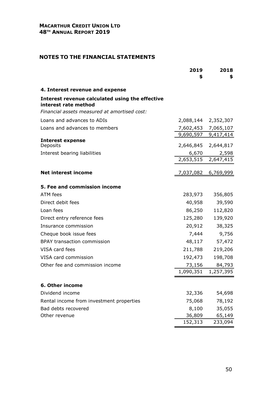|                                                                                                                         | 2019<br>\$ | 2018<br>\$                                 |
|-------------------------------------------------------------------------------------------------------------------------|------------|--------------------------------------------|
| 4. Interest revenue and expense                                                                                         |            |                                            |
| Interest revenue calculated using the effective<br>interest rate method<br>Financial assets measured at amortised cost: |            |                                            |
| Loans and advances to ADIs                                                                                              |            | 2,088,144 2,352,307                        |
| Loans and advances to members                                                                                           |            |                                            |
|                                                                                                                         |            | 7,602,453 7,065,107<br>9,690,597 9,417,414 |
| <b>Interest expense</b><br>Deposits                                                                                     |            | 2,646,845 2,644,817                        |
| Interest bearing liabilities                                                                                            | 6,670      | 2,598                                      |
|                                                                                                                         |            | 2,653,515 2,647,415                        |
| <b>Net interest income</b>                                                                                              |            | <u>7,037,082 6,769,999</u>                 |
| 5. Fee and commission income                                                                                            |            |                                            |
| ATM fees                                                                                                                | 283,973    | 356,805                                    |
| Direct debit fees                                                                                                       | 40,958     | 39,590                                     |
| Loan fees                                                                                                               | 86,250     | 112,820                                    |
| Direct entry reference fees                                                                                             | 125,280    | 139,920                                    |
| Insurance commission                                                                                                    |            | 20,912 38,325                              |
| Cheque book issue fees                                                                                                  | 7,444      | 9,756                                      |
| <b>BPAY transaction commission</b>                                                                                      | 48,117     | 57,472                                     |
| VISA card fees                                                                                                          | 211,788    | 219,206                                    |
| VISA card commission                                                                                                    | 192,473    | 198,708                                    |
| Other fee and commission income                                                                                         | 73,156     | 84,793                                     |
|                                                                                                                         |            | 1,090,351 1,257,395                        |
| 6. Other income                                                                                                         |            |                                            |
| Dividend income                                                                                                         | 32,336     | 54,698                                     |
| Rental income from investment properties                                                                                | 75,068     | 78,192                                     |
| Bad debts recovered                                                                                                     | 8,100      | 35,055                                     |
| Other revenue                                                                                                           | 36,809     | 65,149                                     |
|                                                                                                                         | 152,313    | 233,094                                    |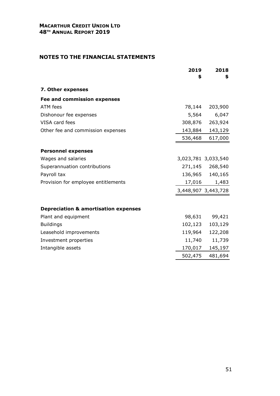|                                                 | 2019<br>\$ | 2018<br>\$          |
|-------------------------------------------------|------------|---------------------|
| 7. Other expenses                               |            |                     |
| <b>Fee and commission expenses</b>              |            |                     |
| ATM fees                                        | 78,144     | 203,900             |
| Dishonour fee expenses                          | 5,564      | 6,047               |
| VISA card fees                                  | 308,876    | 263,924             |
| Other fee and commission expenses               |            | 143,884 143,129     |
|                                                 | 536,468    | 617,000             |
| <b>Personnel expenses</b>                       |            |                     |
| Wages and salaries                              |            | 3,023,781 3,033,540 |
| Superannuation contributions                    |            | 271,145 268,540     |
| Payroll tax                                     |            | 136,965 140,165     |
| Provision for employee entitlements             | 17,016     | 1,483               |
|                                                 |            | 3,448,907 3,443,728 |
|                                                 |            |                     |
| <b>Depreciation &amp; amortisation expenses</b> |            |                     |
| Plant and equipment                             | 98,631     | 99,421              |
| <b>Buildings</b>                                | 102,123    | 103,129             |
| Leasehold improvements                          | 119,964    | 122,208             |
| Investment properties                           | 11,740     | 11,739              |
| Intangible assets                               | 170,017    | 145,197             |
|                                                 | 502,475    | 481,694             |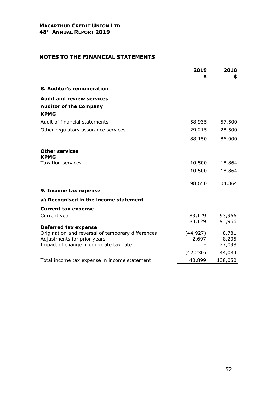|                                                                                  | 2019<br>\$ | 2018<br>\$ |
|----------------------------------------------------------------------------------|------------|------------|
| 8. Auditor's remuneration                                                        |            |            |
| <b>Audit and review services</b>                                                 |            |            |
| <b>Auditor of the Company</b>                                                    |            |            |
| <b>KPMG</b>                                                                      |            |            |
| Audit of financial statements                                                    | 58,935     | 57,500     |
| Other regulatory assurance services                                              | 29,215     | 28,500     |
|                                                                                  | 88,150     | 86,000     |
| <b>Other services</b><br><b>KPMG</b>                                             |            |            |
| <b>Taxation services</b>                                                         | 10,500     | 18,864     |
|                                                                                  | 10,500     | 18,864     |
|                                                                                  | 98,650     | 104,864    |
| 9. Income tax expense                                                            |            |            |
| a) Recognised in the income statement                                            |            |            |
| <b>Current tax expense</b>                                                       |            |            |
| Current year                                                                     | 83,129     | 93,966     |
|                                                                                  | 83,129     | 93,966     |
| <b>Deferred tax expense</b><br>Origination and reversal of temporary differences | (44, 927)  | 8,781      |
| Adjustments for prior years                                                      | 2,697      | 8,205      |
| Impact of change in corporate tax rate                                           |            | 27,098     |
|                                                                                  | (42,230)   | 44,084     |
| Total income tax expense in income statement                                     | 40,899     | 138,050    |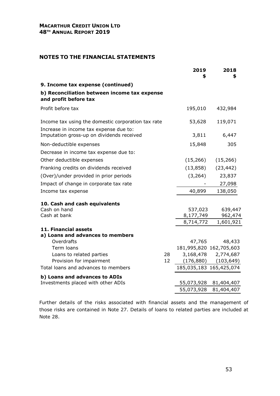# **NOTES TO THE FINANCIAL STATEMENTS**

|                                                                                     |    | 2019<br>\$             | 2018<br>\$                                     |
|-------------------------------------------------------------------------------------|----|------------------------|------------------------------------------------|
| 9. Income tax expense (continued)                                                   |    |                        |                                                |
| b) Reconciliation between income tax expense<br>and profit before tax               |    |                        |                                                |
| Profit before tax                                                                   |    | 195,010                | 432,984                                        |
| Income tax using the domestic corporation tax rate                                  |    | 53,628                 | 119,071                                        |
| Increase in income tax expense due to:<br>Imputation gross-up on dividends received |    | 3,811                  | 6,447                                          |
| Non-deductible expenses                                                             |    | 15,848                 | 305                                            |
| Decrease in income tax expense due to:                                              |    |                        |                                                |
| Other deductible expenses                                                           |    | (15, 266)              | (15, 266)                                      |
| Franking credits on dividends received                                              |    | (13, 858)              | (23, 442)                                      |
| (Over)/under provided in prior periods                                              |    | (3,264)                | 23,837                                         |
| Impact of change in corporate tax rate                                              |    |                        | 27,098                                         |
| Income tax expense                                                                  |    | 40,899                 | 138,050                                        |
| 10. Cash and cash equivalents                                                       |    |                        |                                                |
| Cash on hand                                                                        |    | 537,023                | 639,447                                        |
| Cash at bank                                                                        |    | 8,177,749<br>8,714,772 | 962,474<br>1,601,921                           |
| 11. Financial assets<br>a) Loans and advances to members                            |    |                        |                                                |
| Overdrafts                                                                          |    | 47,765                 | 48,433                                         |
| Term loans                                                                          | 28 |                        | 181,995,820 162,705,603                        |
| Loans to related parties<br>Provision for impairment                                | 12 |                        | 3,168,478 2,774,687<br>$(176,880)$ $(103,649)$ |
| Total loans and advances to members                                                 |    |                        | 185,035,183 165,425,074                        |
| b) Loans and advances to ADIs                                                       |    |                        |                                                |
| Investments placed with other ADIs                                                  |    | 55,073,928             | 81,404,407                                     |
|                                                                                     |    | 55,073,928             | 81,404,407                                     |

Further details of the risks associated with financial assets and the management of those risks are contained in Note 27. Details of loans to related parties are included at Note 28.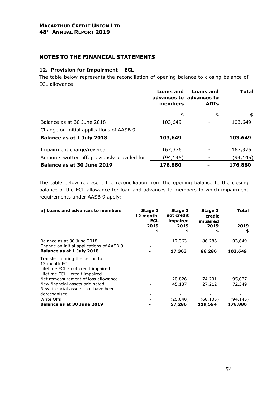# **NOTES TO THE FINANCIAL STATEMENTS**

## **12. Provision for Impairment – ECL**

The table below represents the reconciliation of opening balance to closing balance of ECL allowance:

|                                              | <b>Loans and</b><br>members | Loans and<br>advances to advances to<br><b>ADIS</b> | Total    |
|----------------------------------------------|-----------------------------|-----------------------------------------------------|----------|
|                                              | \$                          | \$                                                  | \$       |
| Balance as at 30 June 2018                   | 103,649                     |                                                     | 103,649  |
| Change on initial applications of AASB 9     |                             |                                                     |          |
| Balance as at 1 July 2018                    | 103,649                     |                                                     | 103,649  |
| Impairment charge/reversal                   | 167,376                     |                                                     | 167,376  |
| Amounts written off, previously provided for | (94,145)                    |                                                     | (94,145) |
| Balance as at 30 June 2019                   | 176,880                     |                                                     | 176,880  |

The table below represent the reconciliation from the opening balance to the closing balance of the ECL allowance for loan and advances to members to which impairment requirements under AASB 9 apply:

| a) Loans and advances to members                                                                              | Stage 1<br>12 month<br><b>ECL</b><br>2019<br>\$ | Stage 2<br>not credit<br>impaired<br>2019<br>\$ | Stage 3<br>credit<br>impaired<br>2019<br>\$ | Total<br>2019<br>\$ |
|---------------------------------------------------------------------------------------------------------------|-------------------------------------------------|-------------------------------------------------|---------------------------------------------|---------------------|
| Balance as at 30 June 2018<br>Change on initial applications of AASB 9                                        |                                                 | 17,363                                          | 86,286                                      | 103,649             |
| Balance as at 1 July 2018                                                                                     |                                                 | 17,363                                          | 86,286                                      | 103,649             |
| Transfers during the period to:<br>12 month ECL<br>Lifetime ECL - not credit impaired                         |                                                 |                                                 |                                             |                     |
| Lifetime ECL - credit impaired                                                                                |                                                 |                                                 |                                             |                     |
| Net remeasurement of loss allowance<br>New financial assets originated<br>New financial assets that have been |                                                 | 20,826<br>45,137                                | 74,201<br>27,212                            | 95,027<br>72,349    |
| derecognised                                                                                                  |                                                 |                                                 |                                             |                     |
| Write Offs                                                                                                    |                                                 | (26,040)                                        | (68,105)                                    | (94,145)            |
| Balance as at 30 June 2019                                                                                    |                                                 | 57,286                                          | 119,594                                     | 176,880             |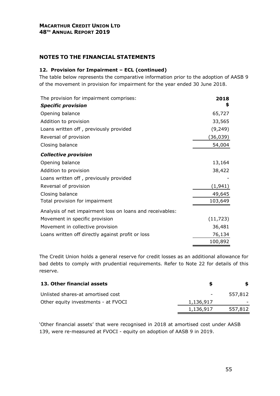# **NOTES TO THE FINANCIAL STATEMENTS**

## **12. Provision for Impairment – ECL (continued)**

The table below represents the comparative information prior to the adoption of AASB 9 of the movement in provision for impairment for the year ended 30 June 2018.

| The provision for impairment comprises:                   | 2018      |
|-----------------------------------------------------------|-----------|
| <b>Specific provision</b>                                 | \$        |
| Opening balance                                           | 65,727    |
| Addition to provision                                     | 33,565    |
| Loans written off, previously provided                    | (9, 249)  |
| Reversal of provision                                     | (36,039)  |
| Closing balance                                           | 54,004    |
| <b>Collective provision</b>                               |           |
| Opening balance                                           | 13,164    |
| Addition to provision                                     | 38,422    |
| Loans written off, previously provided                    |           |
| Reversal of provision                                     | (1, 941)  |
| Closing balance                                           | 49,645    |
| Total provision for impairment                            | 103,649   |
| Analysis of net impairment loss on loans and receivables: |           |
| Movement in specific provision                            | (11, 723) |
| Movement in collective provision                          | 36,481    |
| Loans written off directly against profit or loss         | 76,134    |
|                                                           | 100,892   |

The Credit Union holds a general reserve for credit losses as an additional allowance for bad debts to comply with prudential requirements. Refer to Note 22 for details of this reserve.

| 13. Other financial assets          |           |         |
|-------------------------------------|-----------|---------|
| Unlisted shares-at amortised cost   |           | 557,812 |
| Other equity investments - at FVOCI | 1,136,917 |         |
|                                     | 1,136,917 | 557,812 |

'Other financial assets' that were recognised in 2018 at amortised cost under AASB 139, were re-measured at FVOCI - equity on adoption of AASB 9 in 2019.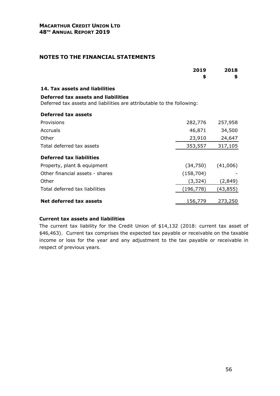|                                                                                                               | 2019<br>\$ | 2018<br>\$ |
|---------------------------------------------------------------------------------------------------------------|------------|------------|
| 14. Tax assets and liabilities                                                                                |            |            |
| Deferred tax assets and liabilities<br>Deferred tax assets and liabilities are attributable to the following: |            |            |
| Deferred tax assets                                                                                           |            |            |
| Provisions                                                                                                    | 282,776    | 257,958    |
| Accruals                                                                                                      | 46,871     | 34,500     |
| Other                                                                                                         | 23,910     | 24,647     |
| Total deferred tax assets                                                                                     | 353,557    | 317,105    |
| <b>Deferred tax liabilities</b>                                                                               |            |            |
| Property, plant & equipment                                                                                   | (34, 750)  | (41,006)   |
| Other financial assets - shares                                                                               | (158, 704) |            |
| Other                                                                                                         | (3, 324)   | (2,849)    |
| Total deferred tax liabilities                                                                                | (196,778)  | (43,855)   |
| Net deferred tax assets                                                                                       | 156,779    | 273,250    |

## **Current tax assets and liabilities**

The current tax liability for the Credit Union of \$14,132 (2018: current tax asset of \$46,463). Current tax comprises the expected tax payable or receivable on the taxable income or loss for the year and any adjustment to the tax payable or receivable in respect of previous years.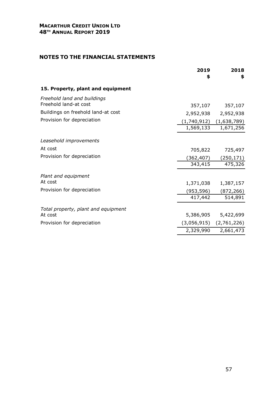|                                                      | 2019<br>\$  | 2018<br>\$                  |
|------------------------------------------------------|-------------|-----------------------------|
| 15. Property, plant and equipment                    |             |                             |
| Freehold land and buildings<br>Freehold land-at cost | 357,107     |                             |
| Buildings on freehold land-at cost                   | 2,952,938   | 357,107<br>2,952,938        |
| Provision for depreciation                           | (1,740,912) | (1,638,789)                 |
|                                                      | 1,569,133   | 1,671,256                   |
| Leasehold improvements                               |             |                             |
| At cost                                              | 705,822     | 725,497                     |
| Provision for depreciation                           | (362,407)   | (250, 171)                  |
|                                                      | 343,415     | 475,326                     |
| Plant and equipment                                  |             |                             |
| At cost                                              | 1,371,038   | 1,387,157                   |
| Provision for depreciation                           | (953,596)   | (872, 266)                  |
|                                                      | 417,442     | 514,891                     |
| Total property, plant and equipment                  |             |                             |
| At cost                                              | 5,386,905   | 5,422,699                   |
| Provision for depreciation                           |             | $(3,056,915)$ $(2,761,226)$ |
|                                                      | 2,329,990   | 2,661,473                   |
|                                                      |             |                             |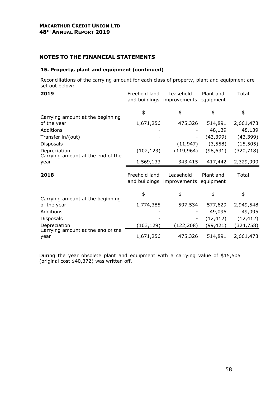#### **15. Property, plant and equipment (continued)**

Reconciliations of the carrying amount for each class of property, plant and equipment are set out below:

| 2019                                                         | Freehold land                  | Leasehold<br>and buildings improvements | Plant and<br>equipment | Total               |
|--------------------------------------------------------------|--------------------------------|-----------------------------------------|------------------------|---------------------|
|                                                              | \$                             | \$                                      | \$                     | \$                  |
| Carrying amount at the beginning<br>of the year<br>Additions | 1,671,256                      | 475,326                                 | 514,891<br>48,139      | 2,661,473<br>48,139 |
| Transfer in/(out)                                            |                                |                                         | (43, 399)              | (43, 399)           |
| <b>Disposals</b>                                             |                                | (11, 947)                               | (3, 558)               | (15, 505)           |
| Depreciation                                                 | (102, 123)                     | (119, 964)                              | (98,631)               | (320, 718)          |
| Carrying amount at the end of the<br>year                    | 1,569,133                      | 343,415                                 | 417,442                | 2,329,990           |
|                                                              |                                |                                         |                        |                     |
| 2018                                                         | Freehold land<br>and buildings | Leasehold<br>improvements               | Plant and<br>equipment | Total               |
|                                                              | \$                             | \$                                      | \$                     | \$                  |
| Carrying amount at the beginning<br>of the year              | 1,774,385                      | 597,534                                 | 577,629                | 2,949,548           |
| Additions                                                    |                                |                                         | 49,095                 | 49,095              |
| <b>Disposals</b>                                             |                                |                                         | (12, 412)              | (12, 412)           |
| Depreciation<br>Carrying amount at the end of the            | (103,129)                      | (122, 208)                              | (99,421)               | (324,758)           |

During the year obsolete plant and equipment with a carrying value of \$15,505 (original cost \$40,372) was written off.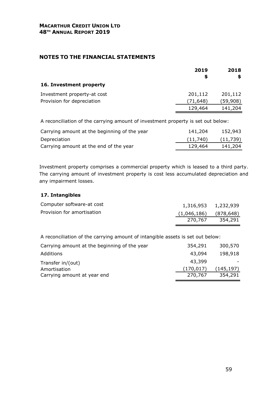|                             | 2019<br>S | 2018<br>S |
|-----------------------------|-----------|-----------|
| 16. Investment property     |           |           |
| Investment property-at cost | 201,112   | 201,112   |
| Provision for depreciation  | (71,648)  | (59,908)  |
|                             | 129,464   | 141,204   |

A reconciliation of the carrying amount of investment property is set out below:

| Carrying amount at the beginning of the year | 141,204  | 152,943   |
|----------------------------------------------|----------|-----------|
| Depreciation                                 | (11,740) | (11, 739) |
| Carrying amount at the end of the year       | 129,464  | 141,204   |

Investment property comprises a commercial property which is leased to a third party. The carrying amount of investment property is cost less accumulated depreciation and any impairment losses.

## **17. Intangibles**

| Computer software-at cost  | 1,316,953 1,232,939       |         |
|----------------------------|---------------------------|---------|
| Provision for amortisation | $(1,046,186)$ $(878,648)$ |         |
|                            | 270.767                   | 354,291 |

A reconciliation of the carrying amount of intangible assets is set out below:

| 354,291    | 300,570   |
|------------|-----------|
| 43,094     | 198,918   |
| 43,399     |           |
| (170, 017) | (145,197) |
| 270,767    | 354,291   |
|            |           |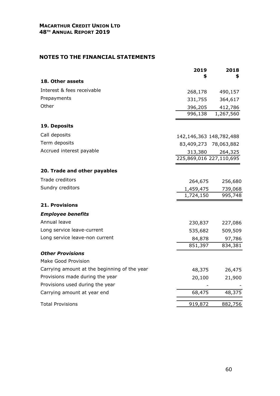|                                              | 2019                    | 2018                  |
|----------------------------------------------|-------------------------|-----------------------|
| 18. Other assets                             |                         | S                     |
| Interest & fees receivable                   | 268,178                 | 490,157               |
| Prepayments                                  | 331,755                 | 364,617               |
| Other                                        | 396,205                 | 412,786               |
|                                              | 996,138                 | 1,267,560             |
| 19. Deposits                                 |                         |                       |
| Call deposits                                | 142,146,363 148,782,488 |                       |
| Term deposits                                |                         | 83,409,273 78,063,882 |
| Accrued interest payable                     | 313,380                 | 264,325               |
|                                              | 225,869,016 227,110,695 |                       |
| 20. Trade and other payables                 |                         |                       |
| Trade creditors                              | 264,675                 | 256,680               |
| Sundry creditors                             | 1,459,475               | 739,068               |
|                                              | 1,724,150               | 995,748               |
| <b>21. Provisions</b>                        |                         |                       |
| <b>Employee benefits</b>                     |                         |                       |
| Annual leave                                 | 230,837                 | 227,086               |
| Long service leave-current                   | 535,682                 | 509,509               |
| Long service leave-non current               | 84,878                  | 97,786                |
|                                              | 851,397                 | 834,381               |
| <b>Other Provisions</b>                      |                         |                       |
| Make Good Provision                          |                         |                       |
| Carrying amount at the beginning of the year | 48,375                  | 26,475                |
| Provisions made during the year              | 20,100                  | 21,900                |
| Provisions used during the year              |                         |                       |
| Carrying amount at year end                  | 68,475                  | 48,375                |
| <b>Total Provisions</b>                      | 919,872                 | 882,756               |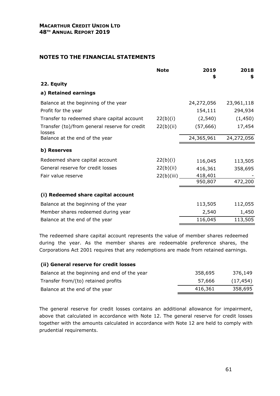|                                                         | <b>Note</b> | 2019<br>\$ | 2018<br>\$ |
|---------------------------------------------------------|-------------|------------|------------|
| 22. Equity                                              |             |            |            |
| a) Retained earnings                                    |             |            |            |
| Balance at the beginning of the year                    |             | 24,272,056 | 23,961,118 |
| Profit for the year                                     |             | 154,111    | 294,934    |
| Transfer to redeemed share capital account              | 22(b)(i)    | (2, 540)   | (1, 450)   |
| Transfer (to)/from general reserve for credit<br>losses | 22(b)(ii)   | (57, 666)  | 17,454     |
| Balance at the end of the year                          |             | 24,365,961 | 24,272,056 |
| b) Reserves                                             |             |            |            |
| Redeemed share capital account                          | 22(b)(i)    | 116,045    | 113,505    |
| General reserve for credit losses                       | 22(b)(ii)   | 416,361    | 358,695    |
| Fair value reserve                                      | 22(b)(iii)  | 418,401    |            |
|                                                         |             | 950,807    | 472,200    |
| (i) Redeemed share capital account                      |             |            |            |
| Balance at the beginning of the year                    |             | 113,505    | 112,055    |
| Member shares redeemed during year                      |             | 2,540      | 1,450      |
| Balance at the end of the year                          |             | 116,045    | 113,505    |
|                                                         |             |            |            |

The redeemed share capital account represents the value of member shares redeemed during the year. As the member shares are redeemable preference shares, the Corporations Act 2001 requires that any redemptions are made from retained earnings.

#### **(ii) General reserve for credit losses**

| Balance at the beginning and end of the year | 358,695 | 376,149   |
|----------------------------------------------|---------|-----------|
| Transfer from/(to) retained profits          | 57,666  | (17, 454) |
| Balance at the end of the year               | 416,361 | 358,695   |

The general reserve for credit losses contains an additional allowance for impairment, above that calculated in accordance with Note 12. The general reserve for credit losses together with the amounts calculated in accordance with Note 12 are held to comply with prudential requirements.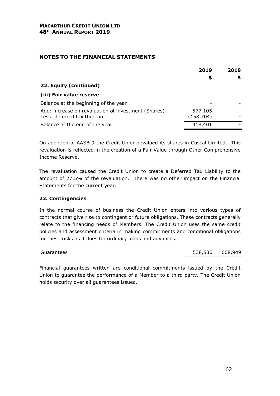|                                                                                   | 2019<br>\$            | 2018<br>\$ |
|-----------------------------------------------------------------------------------|-----------------------|------------|
| 22. Equity (continued)                                                            |                       |            |
| (iii) Fair value reserve                                                          |                       |            |
| Balance at the beginning of the year                                              |                       |            |
| Add: increase on revaluation of investment (Shares)<br>Less: deferred tax thereon | 577,105<br>(158, 704) |            |
| Balance at the end of the year                                                    | 418,401               |            |

On adoption of AASB 9 the Credit Union revalued its shares in Cuscal Limited. This revaluation is reflected in the creation of a Fair Value through Other Comprehensive Income Reserve.

The revaluation caused the Credit Union to create a Deferred Tax Liability to the amount of 27.5% of the revaluation. There was no other impact on the Financial Statements for the current year.

## **23. Contingencies**

In the normal course of business the Credit Union enters into various types of contracts that give rise to contingent or future obligations. These contracts generally relate to the financing needs of Members. The Credit Union uses the same credit policies and assessment criteria in making commitments and conditional obligations for these risks as it does for ordinary loans and advances.

Guarantees 538,536 608,949

Financial guarantees written are conditional commitments issued by the Credit Union to guarantee the performance of a Member to a third party. The Credit Union holds security over all guarantees issued.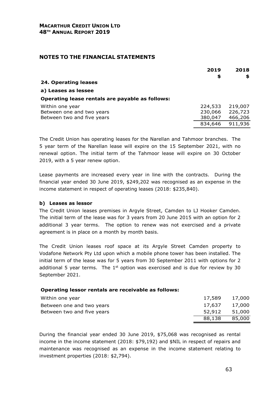| \$<br>\$<br>24. Operating leases<br>a) Leases as lessee |
|---------------------------------------------------------|
|                                                         |
|                                                         |
| Operating lease rentals are payable as follows:         |
| 219,007<br>224,533<br>Within one year                   |
| 226,723<br>Between one and two years<br>230,066         |
| 466,206<br>Between two and five years<br>380,047        |
| 911,936<br>834,646                                      |

The Credit Union has operating leases for the Narellan and Tahmoor branches. The 5 year term of the Narellan lease will expire on the 15 September 2021, with no renewal option. The initial term of the Tahmoor lease will expire on 30 October 2019, with a 5 year renew option.

Lease payments are increased every year in line with the contracts. During the financial year ended 30 June 2019, \$249,202 was recognised as an expense in the income statement in respect of operating leases (2018: \$235,840).

## **b) Leases as lessor**

The Credit Union leases premises in Argyle Street, Camden to LJ Hooker Camden. The initial term of the lease was for 3 years from 20 June 2015 with an option for 2 additional 3 year terms. The option to renew was not exercised and a private agreement is in place on a month by month basis.

The Credit Union leases roof space at its Argyle Street Camden property to Vodafone Network Pty Ltd upon which a mobile phone tower has been installed. The initial term of the lease was for 5 years from 30 September 2011 with options for 2 additional 5 year terms. The  $1<sup>st</sup>$  option was exercised and is due for review by 30 September 2021.

## **Operating lessor rentals are receivable as follows:**

| Within one year            | 17,589 17,000 |        |
|----------------------------|---------------|--------|
| Between one and two years  | 17,637 17,000 |        |
| Between two and five years | 52,912 51,000 |        |
|                            | 88,138        | 85,000 |

During the financial year ended 30 June 2019, \$75,068 was recognised as rental income in the income statement (2018: \$79,192) and \$NIL in respect of repairs and maintenance was recognised as an expense in the income statement relating to investment properties (2018: \$2,794).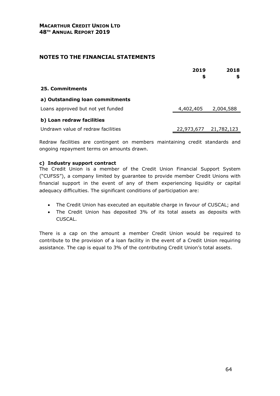|                                    | 2019<br>\$ | 2018<br>\$            |
|------------------------------------|------------|-----------------------|
| 25. Commitments                    |            |                       |
| a) Outstanding loan commitments    |            |                       |
| Loans approved but not yet funded  | 4,402,405  | 2,004,588             |
| b) Loan redraw facilities          |            |                       |
| Undrawn value of redraw facilities |            | 22,973,677 21,782,123 |

Redraw facilities are contingent on members maintaining credit standards and ongoing repayment terms on amounts drawn.

## **c) Industry support contract**

The Credit Union is a member of the Credit Union Financial Support System ("CUFSS"), a company limited by guarantee to provide member Credit Unions with financial support in the event of any of them experiencing liquidity or capital adequacy difficulties. The significant conditions of participation are:

- The Credit Union has executed an equitable charge in favour of CUSCAL; and
- The Credit Union has deposited 3% of its total assets as deposits with CUSCAL.

There is a cap on the amount a member Credit Union would be required to contribute to the provision of a loan facility in the event of a Credit Union requiring assistance. The cap is equal to 3% of the contributing Credit Union's total assets.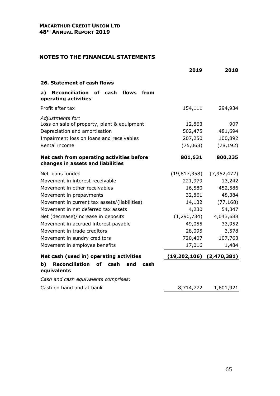|                                                                                                                                                               | 2019                                     | 2018                                   |
|---------------------------------------------------------------------------------------------------------------------------------------------------------------|------------------------------------------|----------------------------------------|
| 26. Statement of cash flows                                                                                                                                   |                                          |                                        |
| Reconciliation of cash<br>a)<br>flows<br>from<br>operating activities                                                                                         |                                          |                                        |
| Profit after tax                                                                                                                                              | 154,111                                  | 294,934                                |
| Adjustments for:<br>Loss on sale of property, plant & equipment<br>Depreciation and amortisation<br>Impairment loss on loans and receivables<br>Rental income | 12,863<br>502,475<br>207,250<br>(75,068) | 907<br>481,694<br>100,892<br>(78, 192) |
| Net cash from operating activities before<br>changes in assets and liabilities                                                                                | 801,631                                  | 800,235                                |
| Net loans funded                                                                                                                                              | (19, 817, 358)                           | (7,952,472)                            |
| Movement in interest receivable                                                                                                                               | 221,979                                  | 13,242                                 |
| Movement in other receivables                                                                                                                                 | 16,580                                   | 452,586                                |
| Movement in prepayments                                                                                                                                       | 32,861                                   | 48,384                                 |
| Movement in current tax assets/(liabilities)                                                                                                                  | 14,132                                   | (77, 168)                              |
| Movement in net deferred tax assets                                                                                                                           | 4,230                                    | 54,347                                 |
| Net (decrease)/increase in deposits                                                                                                                           | (1, 290, 734)                            | 4,043,688                              |
| Movement in accrued interest payable                                                                                                                          | 49,055                                   | 33,952                                 |
| Movement in trade creditors                                                                                                                                   | 28,095                                   | 3,578                                  |
| Movement in sundry creditors                                                                                                                                  | 720,407                                  | 107,763                                |
| Movement in employee benefits                                                                                                                                 | 17,016                                   | 1,484                                  |
| Net cash (used in) operating activities                                                                                                                       | $(19,202,106)$ $(2,470,381)$             |                                        |
| <b>Reconciliation</b><br>of<br>b)<br>cash<br>and<br>cash<br>equivalents                                                                                       |                                          |                                        |
| Cash and cash equivalents comprises:                                                                                                                          |                                          |                                        |
| Cash on hand and at bank                                                                                                                                      | 8,714,772                                | 1,601,921                              |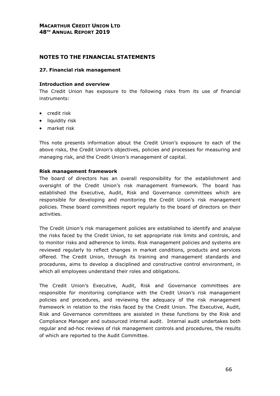# **NOTES TO THE FINANCIAL STATEMENTS**

#### **27. Financial risk management**

#### **Introduction and overview**

The Credit Union has exposure to the following risks from its use of financial instruments:

- credit risk
- liquidity risk
- market risk

This note presents information about the Credit Union's exposure to each of the above risks, the Credit Union's objectives, policies and processes for measuring and managing risk, and the Credit Union's management of capital.

#### **Risk management framework**

The board of directors has an overall responsibility for the establishment and oversight of the Credit Union's risk management framework. The board has established the Executive, Audit, Risk and Governance committees which are responsible for developing and monitoring the Credit Union's risk management policies. These board committees report regularly to the board of directors on their activities.

The Credit Union's risk management policies are established to identify and analyse the risks faced by the Credit Union, to set appropriate risk limits and controls, and to monitor risks and adherence to limits. Risk management policies and systems are reviewed regularly to reflect changes in market conditions, products and services offered. The Credit Union, through its training and management standards and procedures, aims to develop a disciplined and constructive control environment, in which all employees understand their roles and obligations.

The Credit Union's Executive, Audit, Risk and Governance committees are responsible for monitoring compliance with the Credit Union's risk management policies and procedures, and reviewing the adequacy of the risk management framework in relation to the risks faced by the Credit Union. The Executive, Audit, Risk and Governance committees are assisted in these functions by the Risk and Compliance Manager and outsourced internal audit. Internal audit undertakes both regular and ad-hoc reviews of risk management controls and procedures, the results of which are reported to the Audit Committee.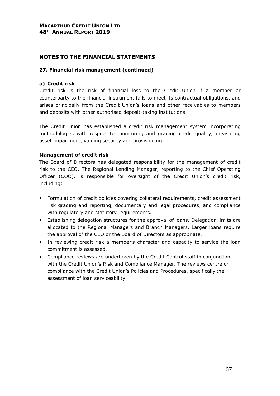# **NOTES TO THE FINANCIAL STATEMENTS**

## **27. Financial risk management (continued)**

## **a) Credit risk**

Credit risk is the risk of financial loss to the Credit Union if a member or counterparty to the financial instrument fails to meet its contractual obligations, and arises principally from the Credit Union's loans and other receivables to members and deposits with other authorised deposit-taking institutions.

The Credit Union has established a credit risk management system incorporating methodologies with respect to monitoring and grading credit quality, measuring asset impairment, valuing security and provisioning.

# **Management of credit risk**

The Board of Directors has delegated responsibility for the management of credit risk to the CEO. The Regional Lending Manager, reporting to the Chief Operating Officer (COO), is responsible for oversight of the Credit Union's credit risk, including:

- Formulation of credit policies covering collateral requirements, credit assessment risk grading and reporting, documentary and legal procedures, and compliance with regulatory and statutory requirements.
- Establishing delegation structures for the approval of loans. Delegation limits are allocated to the Regional Managers and Branch Managers. Larger loans require the approval of the CEO or the Board of Directors as appropriate.
- In reviewing credit risk a member's character and capacity to service the loan commitment is assessed.
- Compliance reviews are undertaken by the Credit Control staff in conjunction with the Credit Union's Risk and Compliance Manager. The reviews centre on compliance with the Credit Union's Policies and Procedures, specifically the assessment of loan serviceability.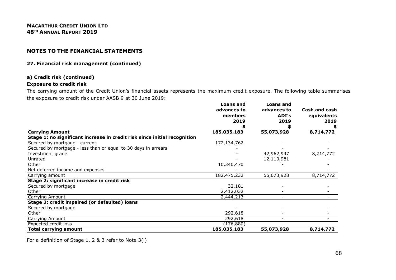#### **27. Financial risk management (continued)**

#### **a) Credit risk (continued)**

#### **Exposure to credit risk**

The carrying amount of the Credit Union's financial assets represents the maximum credit exposure. The following table summarises the exposure to credit risk under AASB 9 at 30 June 2019:

|                                                                                                     | <b>Loans and</b><br>advances to<br>members<br>2019 | <b>Loans and</b><br>advances to<br>ADI's<br>2019 | Cash and cash<br>equivalents<br>2019 |
|-----------------------------------------------------------------------------------------------------|----------------------------------------------------|--------------------------------------------------|--------------------------------------|
|                                                                                                     |                                                    |                                                  |                                      |
| <b>Carrying Amount</b><br>Stage 1: no significant increase in credit risk since initial recognition | 185,035,183                                        | 55,073,928                                       | 8,714,772                            |
| Secured by mortgage - current                                                                       | 172,134,762                                        |                                                  |                                      |
| Secured by mortgage - less than or equal to 30 days in arrears                                      |                                                    |                                                  |                                      |
| Investment grade                                                                                    |                                                    | 42,962,947                                       | 8,714,772                            |
| Unrated                                                                                             |                                                    | 12,110,981                                       |                                      |
| Other                                                                                               | 10,340,470                                         |                                                  |                                      |
| Net deferred income and expenses                                                                    |                                                    |                                                  |                                      |
| Carrying amount                                                                                     | 182,475,232                                        | 55,073,928                                       | 8,714,772                            |
| Stage 2: significant increase in credit risk                                                        |                                                    |                                                  |                                      |
| Secured by mortgage                                                                                 | 32,181                                             |                                                  |                                      |
| Other                                                                                               | 2,412,032                                          |                                                  |                                      |
| Carrying Amount                                                                                     | 2,444,213                                          |                                                  |                                      |
| Stage 3: credit impaired (or defaulted) loans                                                       |                                                    |                                                  |                                      |
| Secured by mortgage                                                                                 |                                                    |                                                  |                                      |
| Other                                                                                               | 292,618                                            |                                                  |                                      |
| Carrying Amount                                                                                     | 292,618                                            | $\overline{\phantom{0}}$                         |                                      |
| Expected credit loss                                                                                | (176, 880)                                         |                                                  |                                      |
| Total carrying amount                                                                               | 185,035,183                                        | 55,073,928                                       | 8,714,772                            |

For a definition of Stage 1, 2 & 3 refer to Note 3(i)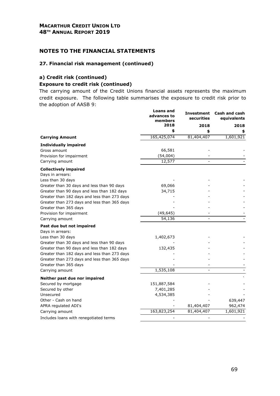# **NOTES TO THE FINANCIAL STATEMENTS**

#### **27. Financial risk management (continued)**

# **a) Credit risk (continued) Exposure to credit risk (continued)**

The carrying amount of the Credit Unions financial assets represents the maximum credit exposure. The following table summarises the exposure to credit risk prior to the adoption of AASB 9:

|                                              | Loans and<br>advances to<br>members<br>2018 | Investment<br>securities<br>2018 | Cash and cash<br>equivalents<br>2018 |
|----------------------------------------------|---------------------------------------------|----------------------------------|--------------------------------------|
|                                              |                                             |                                  |                                      |
|                                              | \$                                          | \$                               |                                      |
| <b>Carrying Amount</b>                       | 165,425,074                                 | 81,404,407                       | 1,601,921                            |
| <b>Individually impaired</b>                 |                                             |                                  |                                      |
| Gross amount                                 | 66,581                                      |                                  |                                      |
| Provision for impairment                     | (54,004)                                    |                                  |                                      |
| Carrying amount                              | 12,577                                      |                                  |                                      |
| <b>Collectively impaired</b>                 |                                             |                                  |                                      |
| Days in arrears:                             |                                             |                                  |                                      |
| Less than 30 days                            |                                             |                                  |                                      |
| Greater than 30 days and less than 90 days   | 69,066                                      |                                  |                                      |
| Greater than 90 days and less than 182 days  | 34,715                                      |                                  |                                      |
| Greater than 182 days and less than 273 days |                                             |                                  |                                      |
| Greater than 273 days and less than 365 days |                                             |                                  |                                      |
| Greater than 365 days                        |                                             |                                  |                                      |
| Provision for impairment                     | (49, 645)                                   |                                  |                                      |
| Carrying amount                              | 54,136                                      |                                  |                                      |
| Past due but not impaired                    |                                             |                                  |                                      |
| Days in arrears:                             |                                             |                                  |                                      |
| Less than 30 days                            | 1,402,673                                   |                                  |                                      |
| Greater than 30 days and less than 90 days   |                                             |                                  |                                      |
| Greater than 90 days and less than 182 days  | 132,435                                     |                                  |                                      |
| Greater than 182 days and less than 273 days |                                             |                                  |                                      |
| Greater than 273 days and less than 365 days |                                             |                                  |                                      |
| Greater than 365 days                        |                                             |                                  |                                      |
| Carrying amount                              | 1,535,108                                   |                                  |                                      |
| Neither past due nor impaired                |                                             |                                  |                                      |
| Secured by mortgage                          | 151,887,584                                 |                                  |                                      |
| Secured by other                             | 7,401,285                                   |                                  |                                      |
| Unsecured                                    | 4,534,385                                   |                                  |                                      |
| Other - Cash on hand                         |                                             |                                  | 639,447                              |
| APRA regulated ADI's                         |                                             | 81,404,407                       | 962,474                              |
| Carrying amount                              | 163,823,254                                 | 81,404,407                       | 1,601,921                            |
| Includes loans with renegotiated terms       |                                             |                                  |                                      |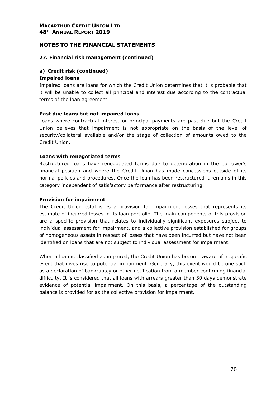# **NOTES TO THE FINANCIAL STATEMENTS**

## **27. Financial risk management (continued)**

#### **a) Credit risk (continued) Impaired loans**

Impaired loans are loans for which the Credit Union determines that it is probable that it will be unable to collect all principal and interest due according to the contractual terms of the loan agreement.

## **Past due loans but not impaired loans**

Loans where contractual interest or principal payments are past due but the Credit Union believes that impairment is not appropriate on the basis of the level of security/collateral available and/or the stage of collection of amounts owed to the Credit Union.

#### **Loans with renegotiated terms**

Restructured loans have renegotiated terms due to deterioration in the borrower's financial position and where the Credit Union has made concessions outside of its normal policies and procedures. Once the loan has been restructured it remains in this category independent of satisfactory performance after restructuring.

#### **Provision for impairment**

The Credit Union establishes a provision for impairment losses that represents its estimate of incurred losses in its loan portfolio. The main components of this provision are a specific provision that relates to individually significant exposures subject to individual assessment for impairment, and a collective provision established for groups of homogeneous assets in respect of losses that have been incurred but have not been identified on loans that are not subject to individual assessment for impairment.

When a loan is classified as impaired, the Credit Union has become aware of a specific event that gives rise to potential impairment. Generally, this event would be one such as a declaration of bankruptcy or other notification from a member confirming financial difficulty. It is considered that all loans with arrears greater than 30 days demonstrate evidence of potential impairment. On this basis, a percentage of the outstanding balance is provided for as the collective provision for impairment.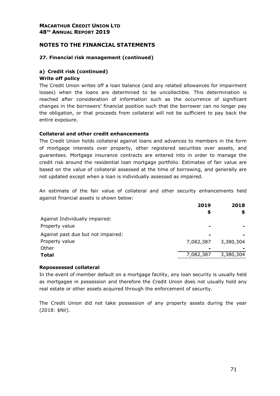# **NOTES TO THE FINANCIAL STATEMENTS**

#### **27. Financial risk management (continued)**

# **a) Credit risk (continued) Write off policy**

The Credit Union writes off a loan balance (and any related allowances for impairment losses) when the loans are determined to be uncollectible. This determination is reached after consideration of information such as the occurrence of significant changes in the borrowers' financial position such that the borrower can no longer pay the obligation, or that proceeds from collateral will not be sufficient to pay back the entire exposure.

#### **Collateral and other credit enhancements**

The Credit Union holds collateral against loans and advances to members in the form of mortgage interests over property, other registered securities over assets, and guarantees. Mortgage insurance contracts are entered into in order to manage the credit risk around the residential loan mortgage portfolio. Estimates of fair value are based on the value of collateral assessed at the time of borrowing, and generally are not updated except when a loan is individually assessed as impaired.

An estimate of the fair value of collateral and other security enhancements held against financial assets is shown below:

|                                    | 2019<br>\$               | 2018<br>S |
|------------------------------------|--------------------------|-----------|
| Against Individually impaired:     |                          |           |
| Property value                     | $\overline{\phantom{0}}$ |           |
| Against past due but not impaired: | $\blacksquare$           |           |
| Property value                     | 7,082,387                | 3,380,304 |
| Other                              | $\blacksquare$           |           |
| <b>Total</b>                       | 7,082,387                | 3,380,304 |
|                                    |                          |           |

#### **Repossessed collateral**

In the event of member default on a mortgage facility, any loan security is usually held as mortgagee in possession and therefore the Credit Union does not usually hold any real estate or other assets acquired through the enforcement of security.

The Credit Union did not take possession of any property assets during the year (2018: \$Nil).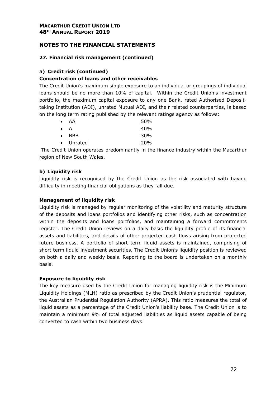# **27. Financial risk management (continued)**

# **a) Credit risk (continued)**

# **Concentration of loans and other receivables**

The Credit Union's maximum single exposure to an individual or groupings of individual loans should be no more than 10% of capital. Within the Credit Union's investment portfolio, the maximum capital exposure to any one Bank, rated Authorised Deposittaking Institution (ADI), unrated Mutual ADI, and their related counterparties, is based on the long term rating published by the relevant ratings agency as follows:

| $\bullet$   | AA            | 50%        |
|-------------|---------------|------------|
| $\bullet$ A |               | 40%        |
|             | $\bullet$ BBB | 30%        |
|             | • Unrated     | <b>20%</b> |

 The Credit Union operates predominantly in the finance industry within the Macarthur region of New South Wales.

# **b) Liquidity risk**

Liquidity risk is recognised by the Credit Union as the risk associated with having difficulty in meeting financial obligations as they fall due.

## **Management of liquidity risk**

Liquidity risk is managed by regular monitoring of the volatility and maturity structure of the deposits and loans portfolios and identifying other risks, such as concentration within the deposits and loans portfolios, and maintaining a forward commitments register. The Credit Union reviews on a daily basis the liquidity profile of its financial assets and liabilities, and details of other projected cash flows arising from projected future business. A portfolio of short term liquid assets is maintained, comprising of short term liquid investment securities. The Credit Union's liquidity position is reviewed on both a daily and weekly basis. Reporting to the board is undertaken on a monthly basis.

## **Exposure to liquidity risk**

The key measure used by the Credit Union for managing liquidity risk is the Minimum Liquidity Holdings (MLH) ratio as prescribed by the Credit Union's prudential regulator, the Australian Prudential Regulation Authority (APRA). This ratio measures the total of liquid assets as a percentage of the Credit Union's liability base. The Credit Union is to maintain a minimum 9% of total adjusted liabilities as liquid assets capable of being converted to cash within two business days.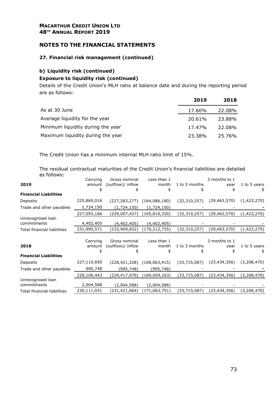## **NOTES TO THE FINANCIAL STATEMENTS**

## **27. Financial risk management (continued)**

## **b) Liquidity risk (continued) Exposure to liquidity risk (continued)**

Details of the Credit Union's MLH ratio at balance date and during the reporting period are as follows:

|                                   | 2019   | 2018   |
|-----------------------------------|--------|--------|
| As at 30 June                     | 17.60% | 22.08% |
| Average liquidity for the year    | 20.61% | 23.88% |
| Minimum liquidity during the year | 17.47% | 22.08% |
| Maximum liquidity during the year | 23.38% | 25.76% |

The Credit Union has a minimum internal MLH ratio limit of 15%.

The residual contractual maturities of the Credit Union's financial liabilities are detailed as follows:

|                              | Carrying    | Gross nominal     | Less than 1     |                | 3 months to 1  |              |
|------------------------------|-------------|-------------------|-----------------|----------------|----------------|--------------|
| 2019                         | amount      | (outflow)/ inflow | month           | 1 to 3 months  | year           | 1 to 5 years |
|                              |             |                   | \$              |                | 5              | \$           |
| <b>Financial Liabilities</b> |             |                   |                 |                |                |              |
| Deposits                     | 225,869,016 | (227, 283, 277)   | (164,086,180)   | (32, 310, 257) | (29, 463, 570) | (1,423,270)  |
| Trade and other payables     | 1,724,150   | (1,724,150)       | (1,724,150)     |                |                |              |
|                              | 227,593,166 | (229,007,427)     | (165, 810, 330) | (32,310,257)   | (29,463,570)   | (1,423,270)  |
| Unrecognised loan            |             |                   |                 |                |                |              |
| commitments                  | 4,402,405   | (4,402,405)       | (4,402,405)     |                |                |              |
| Total financial liabilities  | 231,995,571 | (233,409,832)     | (170, 212, 735) | (32, 310, 257) | (29,463,570)   | (1,423,270)  |
|                              |             |                   |                 |                |                |              |
|                              | Carrying    | Gross nominal     | Less than 1     |                | 3 months to 1  |              |
| 2018                         | amount      | (outflow)/ inflow | month           | 1 to 3 months  | year           | 1 to 5 years |
|                              |             |                   | \$              |                |                | \$           |
| <b>Financial Liabilities</b> |             |                   |                 |                |                |              |
| Deposits                     | 227,110,695 | (228, 421, 328)   | (168,063,415)   | (33,715,087)   | (23, 434, 356) | (3,208,470)  |
| Trade and other payables     | 995,748     | (995,748)         | (995,748)       |                |                |              |
|                              | 228,106,443 | (229,417,076)     | (169, 059, 163) | (33,715,087)   | (23,434,356)   | (3,208,470)  |
| Unrecognised loan            |             |                   |                 |                |                |              |
| commitments                  | 2,004,588   | (2,004,588)       | (2,004,588)     |                |                |              |
|                              |             |                   |                 |                |                |              |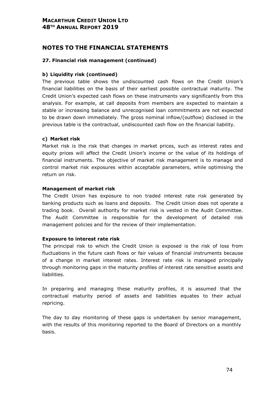# **NOTES TO THE FINANCIAL STATEMENTS**

## **27. Financial risk management (continued)**

## **b) Liquidity risk (continued)**

The previous table shows the undiscounted cash flows on the Credit Union's financial liabilities on the basis of their earliest possible contractual maturity. The Credit Union's expected cash flows on these instruments vary significantly from this analysis. For example, at call deposits from members are expected to maintain a stable or increasing balance and unrecognised loan commitments are not expected to be drawn down immediately. The gross nominal inflow/(outflow) disclosed in the previous table is the contractual, undiscounted cash flow on the financial liability.

## **c) Market risk**

Market risk is the risk that changes in market prices, such as interest rates and equity prices will affect the Credit Union's income or the value of its holdings of financial instruments. The objective of market risk management is to manage and control market risk exposures within acceptable parameters, while optimising the return on risk.

#### **Management of market risk**

The Credit Union has exposure to non traded interest rate risk generated by banking products such as loans and deposits. The Credit Union does not operate a trading book. Overall authority for market risk is vested in the Audit Committee. The Audit Committee is responsible for the development of detailed risk management policies and for the review of their implementation.

## **Exposure to interest rate risk**

The principal risk to which the Credit Union is exposed is the risk of loss from fluctuations in the future cash flows or fair values of financial instruments because of a change in market interest rates. Interest rate risk is managed principally through monitoring gaps in the maturity profiles of interest rate sensitive assets and liabilities.

In preparing and managing these maturity profiles, it is assumed that the contractual maturity period of assets and liabilities equates to their actual repricing.

The day to day monitoring of these gaps is undertaken by senior management, with the results of this monitoring reported to the Board of Directors on a monthly basis.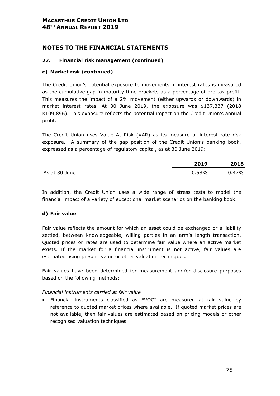# **NOTES TO THE FINANCIAL STATEMENTS**

## **27. Financial risk management (continued)**

## **c) Market risk (continued)**

The Credit Union's potential exposure to movements in interest rates is measured as the cumulative gap in maturity time brackets as a percentage of pre-tax profit. This measures the impact of a 2% movement (either upwards or downwards) in market interest rates. At 30 June 2019, the exposure was \$137,337 (2018 \$109,896). This exposure reflects the potential impact on the Credit Union's annual profit.

The Credit Union uses Value At Risk (VAR) as its measure of interest rate risk exposure. A summary of the gap position of the Credit Union's banking book, expressed as a percentage of regulatory capital, as at 30 June 2019:

|               | 2019  | 2018     |
|---------------|-------|----------|
| As at 30 June | 0.58% | $0.47\%$ |

In addition, the Credit Union uses a wide range of stress tests to model the financial impact of a variety of exceptional market scenarios on the banking book.

## **d) Fair value**

Fair value reflects the amount for which an asset could be exchanged or a liability settled, between knowledgeable, willing parties in an arm's length transaction. Quoted prices or rates are used to determine fair value where an active market exists. If the market for a financial instrument is not active, fair values are estimated using present value or other valuation techniques.

Fair values have been determined for measurement and/or disclosure purposes based on the following methods:

## *Financial instruments carried at fair value*

• Financial instruments classified as FVOCI are measured at fair value by reference to quoted market prices where available. If quoted market prices are not available, then fair values are estimated based on pricing models or other recognised valuation techniques.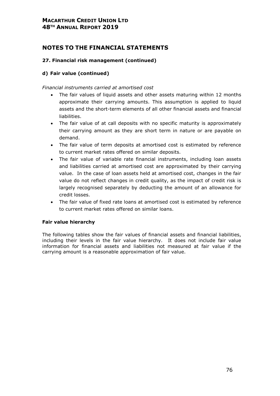# **NOTES TO THE FINANCIAL STATEMENTS**

## **27. Financial risk management (continued)**

## **d) Fair value (continued)**

## *Financial instruments carried at amortised cost*

- The fair values of liquid assets and other assets maturing within 12 months approximate their carrying amounts. This assumption is applied to liquid assets and the short-term elements of all other financial assets and financial liabilities.
- The fair value of at call deposits with no specific maturity is approximately their carrying amount as they are short term in nature or are payable on demand.
- The fair value of term deposits at amortised cost is estimated by reference to current market rates offered on similar deposits.
- The fair value of variable rate financial instruments, including loan assets and liabilities carried at amortised cost are approximated by their carrying value. In the case of loan assets held at amortised cost, changes in the fair value do not reflect changes in credit quality, as the impact of credit risk is largely recognised separately by deducting the amount of an allowance for credit losses.
- The fair value of fixed rate loans at amortised cost is estimated by reference to current market rates offered on similar loans.

## **Fair value hierarchy**

The following tables show the fair values of financial assets and financial liabilities, including their levels in the fair value hierarchy. It does not include fair value information for financial assets and liabilities not measured at fair value if the carrying amount is a reasonable approximation of fair value.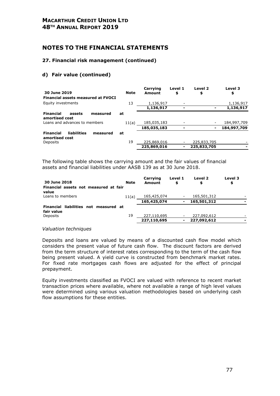## **NOTES TO THE FINANCIAL STATEMENTS**

### **27. Financial risk management (continued)**

## **d) Fair value (continued)**

| 30 June 2019                                                  | <b>Note</b> | Carrying<br>Amount | Level 1<br>\$            | Level 2<br>\$  | Level 3<br>\$ |
|---------------------------------------------------------------|-------------|--------------------|--------------------------|----------------|---------------|
| <b>Financial assets measured at FVOCI</b>                     |             |                    |                          |                |               |
| Equity investments                                            | 13          | 1,136,917          | $\overline{\phantom{a}}$ |                | 1,136,917     |
|                                                               |             | 1,136,917          |                          |                | 1,136,917     |
| <b>Financial</b><br>assets<br>measured<br>amortised cost      | at          |                    |                          |                |               |
| Loans and advances to members                                 | 11(a)       | 185,035,183        |                          |                | 184,997,709   |
|                                                               |             | 185,035,183        |                          | $\blacksquare$ | 184,997,709   |
| liabilities<br><b>Financial</b><br>measured<br>amortised cost | at          |                    |                          |                |               |
| Deposits                                                      | 19          | 225,869,016        |                          | 225,833,705    |               |
|                                                               |             | 225,869,016        | ۰                        | 225,833,705    |               |

The following table shows the carrying amount and the fair values of financial assets and financial liabilities under AASB 139 as at 30 June 2018.

| 30 June 2018<br>Financial assets not measured at fair<br>value            | <b>Note</b> | Carrying<br>Amount         | Level 1<br>\$                              | Level 2<br>\$              | Level 3<br>\$ |
|---------------------------------------------------------------------------|-------------|----------------------------|--------------------------------------------|----------------------------|---------------|
| Loans to members                                                          | 11(a)       | 165,425,074<br>165,425,074 | $\overline{\phantom{a}}$<br>$\blacksquare$ | 165,501,312<br>165,501,312 |               |
| liabilities not measured at<br><b>Financial</b><br>fair value<br>Deposits | 19          | 227,110,695                | $\overline{\phantom{a}}$                   | 227,092,612                |               |
|                                                                           |             | 227,110,695                | ۰                                          | 227,092,612                |               |

#### *Valuation techniques*

Deposits and loans are valued by means of a discounted cash flow model which considers the present value of future cash flow. The discount factors are derived from the term structure of interest rates corresponding to the term of the cash flow being present valued. A yield curve is constructed from benchmark market rates. For fixed rate mortgages cash flows are adjusted for the effect of principal prepayment.

Equity investments classified as FVOCI are valued with reference to recent market transaction prices where available, where not available a range of high level values were determined using various valuation methodologies based on underlying cash flow assumptions for these entities.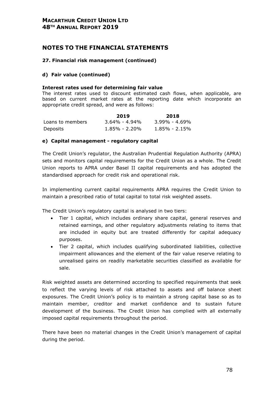## **NOTES TO THE FINANCIAL STATEMENTS**

## **27. Financial risk management (continued)**

## **d) Fair value (continued)**

### **Interest rates used for determining fair value**

The interest rates used to discount estimated cash flows, when applicable, are based on current market rates at the reporting date which incorporate an appropriate credit spread, and were as follows:

|                  | 2019              | 2018              |
|------------------|-------------------|-------------------|
| Loans to members | $3.64\% - 4.94\%$ | $3.99\% - 4.69\%$ |
| Deposits         | $1.85\% - 2.20\%$ | $1.85\%$ - 2.15%  |

## **e) Capital management - regulatory capital**

The Credit Union's regulator, the Australian Prudential Regulation Authority (APRA) sets and monitors capital requirements for the Credit Union as a whole. The Credit Union reports to APRA under Basel II capital requirements and has adopted the standardised approach for credit risk and operational risk.

In implementing current capital requirements APRA requires the Credit Union to maintain a prescribed ratio of total capital to total risk weighted assets.

The Credit Union's regulatory capital is analysed in two tiers:

- Tier 1 capital, which includes ordinary share capital, general reserves and retained earnings, and other regulatory adjustments relating to items that are included in equity but are treated differently for capital adequacy purposes.
- Tier 2 capital, which includes qualifying subordinated liabilities, collective impairment allowances and the element of the fair value reserve relating to unrealised gains on readily marketable securities classified as available for sale.

Risk weighted assets are determined according to specified requirements that seek to reflect the varying levels of risk attached to assets and off balance sheet exposures. The Credit Union's policy is to maintain a strong capital base so as to maintain member, creditor and market confidence and to sustain future development of the business. The Credit Union has complied with all externally imposed capital requirements throughout the period.

There have been no material changes in the Credit Union's management of capital during the period.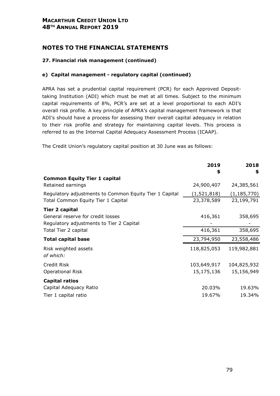# **NOTES TO THE FINANCIAL STATEMENTS**

## **27. Financial risk management (continued)**

## **e) Capital management - regulatory capital (continued)**

APRA has set a prudential capital requirement (PCR) for each Approved Deposittaking Institution (ADI) which must be met at all times. Subject to the minimum capital requirements of 8%, PCR's are set at a level proportional to each ADI's overall risk profile. A key principle of APRA's capital management framework is that ADI's should have a process for assessing their overall capital adequacy in relation to their risk profile and strategy for maintaining capital levels. This process is referred to as the Internal Capital Adequacy Assessment Process (ICAAP).

The Credit Union's regulatory capital position at 30 June was as follows:

|                                                        | 2019        | 2018          |
|--------------------------------------------------------|-------------|---------------|
| <b>Common Equity Tier 1 capital</b>                    | \$          | \$            |
| Retained earnings                                      | 24,900,407  | 24,385,561    |
| Regulatory adjustments to Common Equity Tier 1 Capital | (1,521,818) | (1, 185, 770) |
| Total Common Equity Tier 1 Capital                     | 23,378,589  | 23,199,791    |
| <b>Tier 2 capital</b>                                  |             |               |
| General reserve for credit losses                      | 416,361     | 358,695       |
| Regulatory adjustments to Tier 2 Capital               |             |               |
| Total Tier 2 capital                                   | 416,361     | 358,695       |
| <b>Total capital base</b>                              | 23,794,950  | 23,558,486    |
| Risk weighted assets                                   | 118,825,053 | 119,982,881   |
| of which:                                              |             |               |
| Credit Risk                                            | 103,649,917 | 104,825,932   |
| <b>Operational Risk</b>                                | 15,175,136  | 15,156,949    |
| <b>Capital ratios</b>                                  |             |               |
| Capital Adequacy Ratio                                 | 20.03%      | 19.63%        |
| Tier 1 capital ratio                                   | 19.67%      | 19.34%        |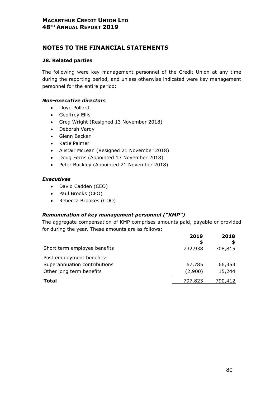# **NOTES TO THE FINANCIAL STATEMENTS**

## **28. Related parties**

The following were key management personnel of the Credit Union at any time during the reporting period, and unless otherwise indicated were key management personnel for the entire period:

## *Non-executive directors*

- Lloyd Pollard
- Geoffrey Ellis
- Greg Wright (Resigned 13 November 2018)
- Deborah Vardy
- Glenn Becker
- Katie Palmer
- Alistair McLean (Resigned 21 November 2018)
- Doug Ferris (Appointed 13 November 2018)
- Peter Buckley (Appointed 21 November 2018)

## *Executives*

- David Cadden (CEO)
- Paul Brooks (CFO)
- Rebecca Brookes (COO)

## *Remuneration of key management personnel ("KMP")*

The aggregate compensation of KMP comprises amounts paid, payable or provided for during the year. These amounts are as follows:

|                              | 2019<br>S | 2018    |
|------------------------------|-----------|---------|
| Short term employee benefits | 732,938   | 708,815 |
| Post employment benefits-    |           |         |
| Superannuation contributions | 67,785    | 66,353  |
| Other long term benefits     | (2,900)   | 15,244  |
| Total                        | 797,823   | 790,412 |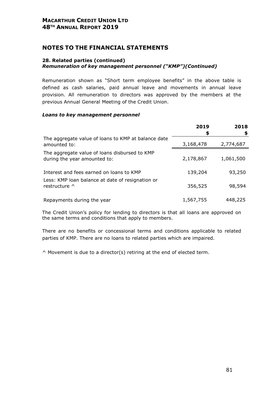## **NOTES TO THE FINANCIAL STATEMENTS**

## **28. Related parties (continued)**

## *Remuneration of key management personnel ("KMP")(Continued)*

Remuneration shown as "Short term employee benefits" in the above table is defined as cash salaries, paid annual leave and movements in annual leave provision. All remuneration to directors was approved by the members at the previous Annual General Meeting of the Credit Union.

## *Loans to key management personnel*

|                                                                               | 2019<br>\$ | 2018<br>\$ |
|-------------------------------------------------------------------------------|------------|------------|
| The aggregate value of loans to KMP at balance date<br>amounted to:           | 3,168,478  | 2,774,687  |
| The aggregate value of loans disbursed to KMP<br>during the year amounted to: | 2,178,867  | 1,061,500  |
| Interest and fees earned on loans to KMP                                      | 139,204    | 93,250     |
| Less: KMP loan balance at date of resignation or<br>restructure $\wedge$      | 356,525    | 98,594     |
| Repayments during the year                                                    | 1,567,755  | 448,225    |

The Credit Union's policy for lending to directors is that all loans are approved on the same terms and conditions that apply to members.

There are no benefits or concessional terms and conditions applicable to related parties of KMP. There are no loans to related parties which are impaired.

^ Movement is due to a director(s) retiring at the end of elected term.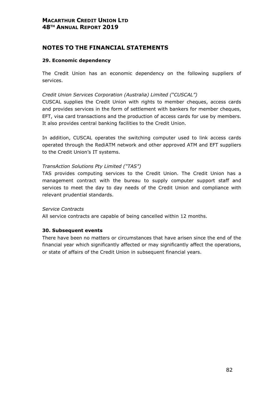# **NOTES TO THE FINANCIAL STATEMENTS**

## **29. Economic dependency**

The Credit Union has an economic dependency on the following suppliers of services.

## *Credit Union Services Corporation (Australia) Limited ("CUSCAL")*

CUSCAL supplies the Credit Union with rights to member cheques, access cards and provides services in the form of settlement with bankers for member cheques, EFT, visa card transactions and the production of access cards for use by members. It also provides central banking facilities to the Credit Union.

In addition, CUSCAL operates the switching computer used to link access cards operated through the RediATM network and other approved ATM and EFT suppliers to the Credit Union's IT systems.

## *TransAction Solutions Pty Limited ("TAS")*

TAS provides computing services to the Credit Union. The Credit Union has a management contract with the bureau to supply computer support staff and services to meet the day to day needs of the Credit Union and compliance with relevant prudential standards.

## *Service Contracts*

All service contracts are capable of being cancelled within 12 months.

## **30. Subsequent events**

There have been no matters or circumstances that have arisen since the end of the financial year which significantly affected or may significantly affect the operations, or state of affairs of the Credit Union in subsequent financial years.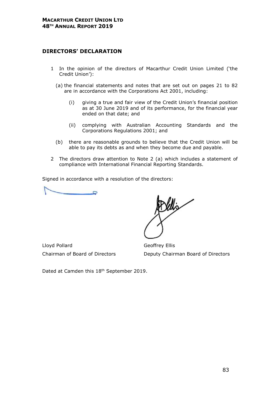## **DIRECTORS' DECLARATION**

- 1 In the opinion of the directors of Macarthur Credit Union Limited ('the Credit Union'):
	- (a) the financial statements and notes that are set out on pages 21 to 82 are in accordance with the Corporations Act 2001, including:
		- (i) giving a true and fair view of the Credit Union's financial position as at 30 June 2019 and of its performance, for the financial year ended on that date; and
		- (ii) complying with Australian Accounting Standards and the Corporations Regulations 2001; and
	- (b) there are reasonable grounds to believe that the Credit Union will be able to pay its debts as and when they become due and payable.
- 2 The directors draw attention to Note 2 (a) which includes a statement of compliance with International Financial Reporting Standards.

Signed in accordance with a resolution of the directors:

Lloyd Pollard Geoffrey Ellis

Chairman of Board of Directors Deputy Chairman Board of Directors

Dated at Camden this 18<sup>th</sup> September 2019.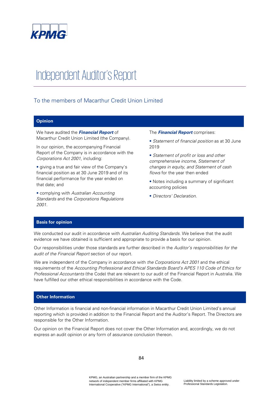

# Independent Auditor's Report

## To the members of Macarthur Credit Union Limited

#### **Opinion**

We have audited the **Financial Report** of Macarthur Credit Union Limited (the Company).

In our opinion, the accompanying Financial Report of the Company is in accordance with the Corporations Act 2001, including:

• giving a true and fair view of the Company's financial position as at 30 June 2019 and of its financial performance for the year ended on that date; and

• complying with Australian Accounting Standards and the Corporations Regulations 2001.

#### The **Financial Report** comprises:

- Statement of financial position as at 30 June 2019
- Statement of profit or loss and other comprehensive income, Statement of changes in equity, and Statement of cash flows for the year then ended
- Notes including a summary of significant accounting policies
- Directors' Declaration.

#### **Basis for opinion**

We conducted our audit in accordance with Australian Auditing Standards. We believe that the audit evidence we have obtained is sufficient and appropriate to provide a basis for our opinion.

Our responsibilities under those standards are further described in the Auditor's responsibilities for the audit of the Financial Report section of our report.

We are independent of the Company in accordance with the Corporations Act 2001 and the ethical requirements of the Accounting Professional and Ethical Standards Board's APES 110 Code of Ethics for Professional Accountants (the Code) that are relevant to our audit of the Financial Report in Australia. We have fulfilled our other ethical responsibilities in accordance with the Code.

#### **Other Information**

Other Information is financial and non-financial information in Macarthur Credit Union Limited's annual reporting which is provided in addition to the Financial Report and the Auditor's Report. The Directors are responsible for the Other Information.

Our opinion on the Financial Report does not cover the Other Information and, accordingly, we do not express an audit opinion or any form of assurance conclusion thereon.

84